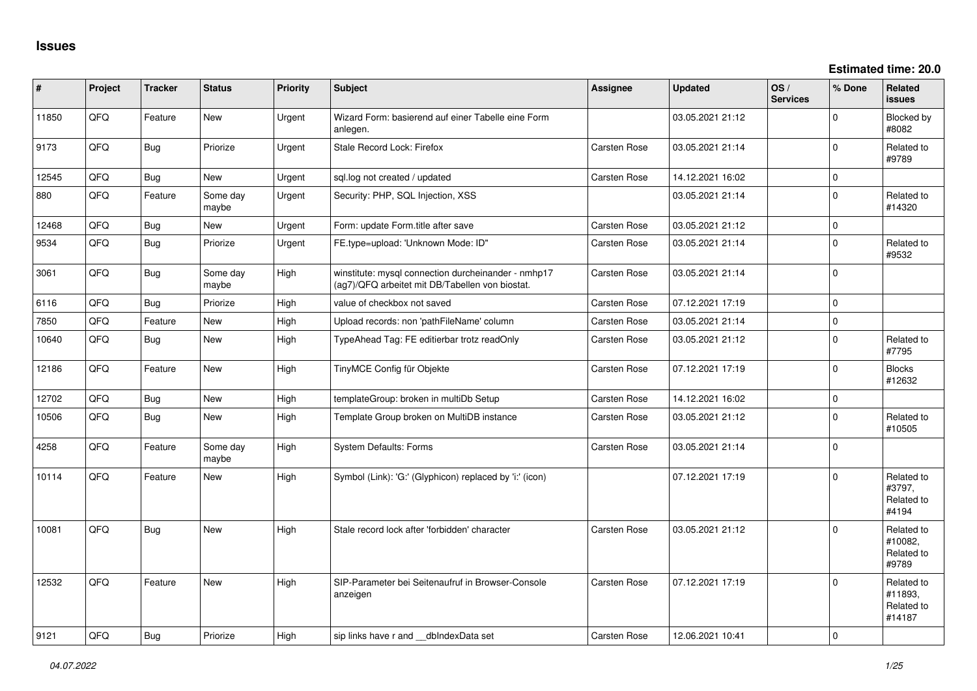| #     | Project | <b>Tracker</b> | <b>Status</b>     | <b>Priority</b> | <b>Subject</b>                                                                                         | <b>Assignee</b>     | <b>Updated</b>   | OS/<br><b>Services</b> | % Done         | Related<br><b>issues</b>                      |
|-------|---------|----------------|-------------------|-----------------|--------------------------------------------------------------------------------------------------------|---------------------|------------------|------------------------|----------------|-----------------------------------------------|
| 11850 | QFQ     | Feature        | <b>New</b>        | Urgent          | Wizard Form: basierend auf einer Tabelle eine Form<br>anlegen.                                         |                     | 03.05.2021 21:12 |                        | 0              | Blocked by<br>#8082                           |
| 9173  | QFQ     | Bug            | Priorize          | Urgent          | Stale Record Lock: Firefox                                                                             | <b>Carsten Rose</b> | 03.05.2021 21:14 |                        | $\Omega$       | Related to<br>#9789                           |
| 12545 | QFQ     | <b>Bug</b>     | New               | Urgent          | sql.log not created / updated                                                                          | <b>Carsten Rose</b> | 14.12.2021 16:02 |                        | 0              |                                               |
| 880   | QFQ     | Feature        | Some day<br>maybe | Urgent          | Security: PHP, SQL Injection, XSS                                                                      |                     | 03.05.2021 21:14 |                        | $\mathbf{0}$   | Related to<br>#14320                          |
| 12468 | QFQ     | Bug            | <b>New</b>        | Urgent          | Form: update Form.title after save                                                                     | <b>Carsten Rose</b> | 03.05.2021 21:12 |                        | $\mathbf 0$    |                                               |
| 9534  | QFQ     | Bug            | Priorize          | Urgent          | FE.type=upload: 'Unknown Mode: ID"                                                                     | <b>Carsten Rose</b> | 03.05.2021 21:14 |                        | $\mathbf 0$    | Related to<br>#9532                           |
| 3061  | QFQ     | Bug            | Some day<br>maybe | High            | winstitute: mysql connection durcheinander - nmhp17<br>(ag7)/QFQ arbeitet mit DB/Tabellen von biostat. | <b>Carsten Rose</b> | 03.05.2021 21:14 |                        | 0              |                                               |
| 6116  | OFO     | Bug            | Priorize          | High            | value of checkbox not saved                                                                            | <b>Carsten Rose</b> | 07.12.2021 17:19 |                        | $\mathbf{0}$   |                                               |
| 7850  | QFQ     | Feature        | New               | High            | Upload records: non 'pathFileName' column                                                              | <b>Carsten Rose</b> | 03.05.2021 21:14 |                        | $\mathsf{O}$   |                                               |
| 10640 | QFQ     | Bug            | New               | High            | TypeAhead Tag: FE editierbar trotz readOnly                                                            | <b>Carsten Rose</b> | 03.05.2021 21:12 |                        | 0              | Related to<br>#7795                           |
| 12186 | QFQ     | Feature        | New               | High            | TinyMCE Config für Objekte                                                                             | <b>Carsten Rose</b> | 07.12.2021 17:19 |                        | 0              | <b>Blocks</b><br>#12632                       |
| 12702 | QFQ     | Bug            | <b>New</b>        | High            | templateGroup: broken in multiDb Setup                                                                 | <b>Carsten Rose</b> | 14.12.2021 16:02 |                        | $\mathbf 0$    |                                               |
| 10506 | QFQ     | Bug            | <b>New</b>        | High            | Template Group broken on MultiDB instance                                                              | <b>Carsten Rose</b> | 03.05.2021 21:12 |                        | $\mathbf 0$    | Related to<br>#10505                          |
| 4258  | QFQ     | Feature        | Some day<br>maybe | High            | <b>System Defaults: Forms</b>                                                                          | <b>Carsten Rose</b> | 03.05.2021 21:14 |                        | $\overline{0}$ |                                               |
| 10114 | QFQ     | Feature        | <b>New</b>        | High            | Symbol (Link): 'G:' (Glyphicon) replaced by 'i:' (icon)                                                |                     | 07.12.2021 17:19 |                        | 0              | Related to<br>#3797,<br>Related to<br>#4194   |
| 10081 | QFQ     | Bug            | New               | High            | Stale record lock after 'forbidden' character                                                          | <b>Carsten Rose</b> | 03.05.2021 21:12 |                        | 0              | Related to<br>#10082,<br>Related to<br>#9789  |
| 12532 | QFQ     | Feature        | <b>New</b>        | High            | SIP-Parameter bei Seitenaufruf in Browser-Console<br>anzeigen                                          | <b>Carsten Rose</b> | 07.12.2021 17:19 |                        | 0              | Related to<br>#11893.<br>Related to<br>#14187 |
| 9121  | QFQ     | Bug            | Priorize          | High            | sip links have r and __dbIndexData set                                                                 | <b>Carsten Rose</b> | 12.06.2021 10:41 |                        | $\mathbf 0$    |                                               |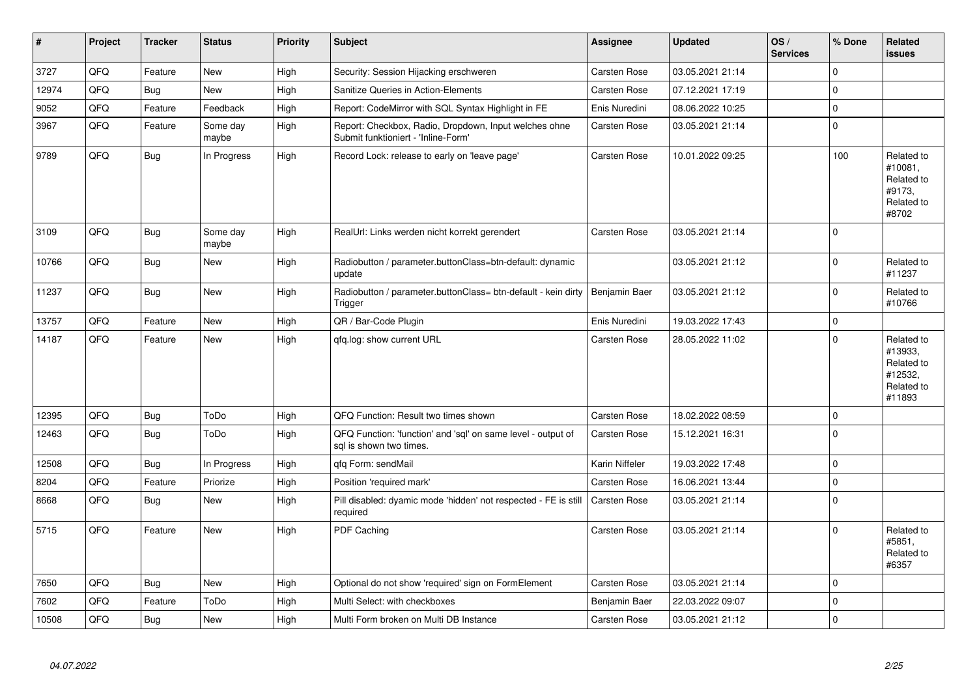| $\vert$ # | Project | <b>Tracker</b> | <b>Status</b>     | <b>Priority</b> | <b>Subject</b>                                                                               | Assignee            | <b>Updated</b>   | OS/<br><b>Services</b> | % Done      | Related<br><b>issues</b>                                               |
|-----------|---------|----------------|-------------------|-----------------|----------------------------------------------------------------------------------------------|---------------------|------------------|------------------------|-------------|------------------------------------------------------------------------|
| 3727      | QFQ     | Feature        | <b>New</b>        | High            | Security: Session Hijacking erschweren                                                       | Carsten Rose        | 03.05.2021 21:14 |                        | $\mathbf 0$ |                                                                        |
| 12974     | QFQ     | Bug            | New               | High            | <b>Sanitize Queries in Action-Elements</b>                                                   | Carsten Rose        | 07.12.2021 17:19 |                        | $\mathbf 0$ |                                                                        |
| 9052      | QFQ     | Feature        | Feedback          | High            | Report: CodeMirror with SQL Syntax Highlight in FE                                           | Enis Nuredini       | 08.06.2022 10:25 |                        | $\mathbf 0$ |                                                                        |
| 3967      | QFQ     | Feature        | Some day<br>maybe | High            | Report: Checkbox, Radio, Dropdown, Input welches ohne<br>Submit funktioniert - 'Inline-Form' | Carsten Rose        | 03.05.2021 21:14 |                        | $\mathbf 0$ |                                                                        |
| 9789      | QFQ     | Bug            | In Progress       | High            | Record Lock: release to early on 'leave page'                                                | Carsten Rose        | 10.01.2022 09:25 |                        | 100         | Related to<br>#10081,<br>Related to<br>#9173,<br>Related to<br>#8702   |
| 3109      | QFQ     | <b>Bug</b>     | Some day<br>maybe | High            | RealUrl: Links werden nicht korrekt gerendert                                                | <b>Carsten Rose</b> | 03.05.2021 21:14 |                        | $\mathbf 0$ |                                                                        |
| 10766     | QFQ     | <b>Bug</b>     | <b>New</b>        | High            | Radiobutton / parameter.buttonClass=btn-default: dynamic<br>update                           |                     | 03.05.2021 21:12 |                        | $\mathbf 0$ | Related to<br>#11237                                                   |
| 11237     | QFQ     | Bug            | New               | High            | Radiobutton / parameter.buttonClass= btn-default - kein dirty<br>Trigger                     | Benjamin Baer       | 03.05.2021 21:12 |                        | $\mathbf 0$ | Related to<br>#10766                                                   |
| 13757     | QFQ     | Feature        | <b>New</b>        | High            | QR / Bar-Code Plugin                                                                         | Enis Nuredini       | 19.03.2022 17:43 |                        | $\mathbf 0$ |                                                                        |
| 14187     | QFQ     | Feature        | New               | High            | qfq.log: show current URL                                                                    | Carsten Rose        | 28.05.2022 11:02 |                        | $\mathbf 0$ | Related to<br>#13933,<br>Related to<br>#12532,<br>Related to<br>#11893 |
| 12395     | QFQ     | Bug            | ToDo              | High            | QFQ Function: Result two times shown                                                         | Carsten Rose        | 18.02.2022 08:59 |                        | $\mathbf 0$ |                                                                        |
| 12463     | QFQ     | Bug            | ToDo              | High            | QFQ Function: 'function' and 'sql' on same level - output of<br>sql is shown two times.      | Carsten Rose        | 15.12.2021 16:31 |                        | $\mathbf 0$ |                                                                        |
| 12508     | QFQ     | Bug            | In Progress       | High            | qfq Form: sendMail                                                                           | Karin Niffeler      | 19.03.2022 17:48 |                        | $\mathbf 0$ |                                                                        |
| 8204      | QFQ     | Feature        | Priorize          | High            | Position 'required mark'                                                                     | Carsten Rose        | 16.06.2021 13:44 |                        | $\mathbf 0$ |                                                                        |
| 8668      | QFQ     | Bug            | <b>New</b>        | High            | Pill disabled: dyamic mode 'hidden' not respected - FE is still<br>required                  | Carsten Rose        | 03.05.2021 21:14 |                        | $\mathbf 0$ |                                                                        |
| 5715      | QFQ     | Feature        | <b>New</b>        | High            | PDF Caching                                                                                  | Carsten Rose        | 03.05.2021 21:14 |                        | $\Omega$    | Related to<br>#5851,<br>Related to<br>#6357                            |
| 7650      | QFQ     | <b>Bug</b>     | <b>New</b>        | High            | Optional do not show 'required' sign on FormElement                                          | Carsten Rose        | 03.05.2021 21:14 |                        | $\Omega$    |                                                                        |
| 7602      | QFQ     | Feature        | ToDo              | High            | Multi Select: with checkboxes                                                                | Benjamin Baer       | 22.03.2022 09:07 |                        | $\mathbf 0$ |                                                                        |
| 10508     | QFQ     | <b>Bug</b>     | <b>New</b>        | High            | Multi Form broken on Multi DB Instance                                                       | Carsten Rose        | 03.05.2021 21:12 |                        | $\mathbf 0$ |                                                                        |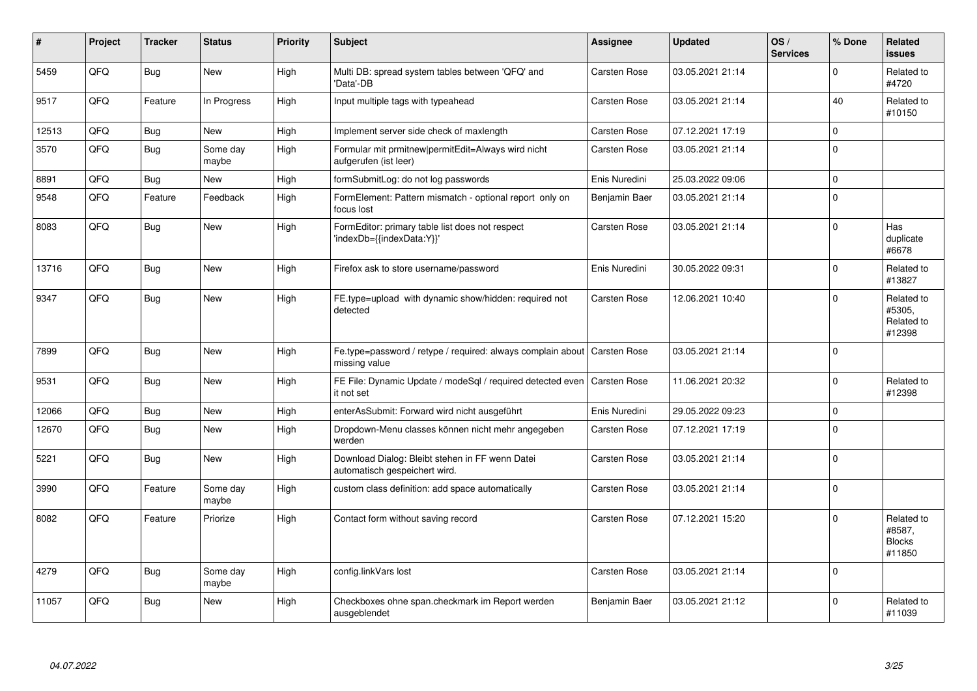| ∦     | Project | <b>Tracker</b> | <b>Status</b>     | <b>Priority</b> | <b>Subject</b>                                                                          | <b>Assignee</b> | <b>Updated</b>   | OS/<br><b>Services</b> | % Done       | Related<br><b>issues</b>                        |
|-------|---------|----------------|-------------------|-----------------|-----------------------------------------------------------------------------------------|-----------------|------------------|------------------------|--------------|-------------------------------------------------|
| 5459  | QFQ     | Bug            | <b>New</b>        | High            | Multi DB: spread system tables between 'QFQ' and<br>Data'-DB                            | Carsten Rose    | 03.05.2021 21:14 |                        | $\Omega$     | Related to<br>#4720                             |
| 9517  | QFQ     | Feature        | In Progress       | High            | Input multiple tags with typeahead                                                      | Carsten Rose    | 03.05.2021 21:14 |                        | 40           | Related to<br>#10150                            |
| 12513 | QFQ     | <b>Bug</b>     | <b>New</b>        | High            | Implement server side check of maxlength                                                | Carsten Rose    | 07.12.2021 17:19 |                        | $\mathbf 0$  |                                                 |
| 3570  | QFQ     | <b>Bug</b>     | Some day<br>maybe | High            | Formular mit prmitnew permitEdit=Always wird nicht<br>aufgerufen (ist leer)             | Carsten Rose    | 03.05.2021 21:14 |                        | $\Omega$     |                                                 |
| 8891  | QFQ     | Bug            | New               | High            | formSubmitLog: do not log passwords                                                     | Enis Nuredini   | 25.03.2022 09:06 |                        | $\mathbf{0}$ |                                                 |
| 9548  | QFQ     | Feature        | Feedback          | High            | FormElement: Pattern mismatch - optional report only on<br>focus lost                   | Benjamin Baer   | 03.05.2021 21:14 |                        | $\Omega$     |                                                 |
| 8083  | QFQ     | <b>Bug</b>     | <b>New</b>        | High            | FormEditor: primary table list does not respect<br>'indexDb={{indexData:Y}}'            | Carsten Rose    | 03.05.2021 21:14 |                        | $\Omega$     | Has<br>duplicate<br>#6678                       |
| 13716 | QFQ     | <b>Bug</b>     | <b>New</b>        | High            | Firefox ask to store username/password                                                  | Enis Nuredini   | 30.05.2022 09:31 |                        | $\Omega$     | Related to<br>#13827                            |
| 9347  | QFQ     | Bug            | <b>New</b>        | High            | FE.type=upload with dynamic show/hidden: required not<br>detected                       | Carsten Rose    | 12.06.2021 10:40 |                        | $\Omega$     | Related to<br>#5305,<br>Related to<br>#12398    |
| 7899  | QFQ     | <b>Bug</b>     | <b>New</b>        | High            | Fe.type=password / retype / required: always complain about<br>missing value            | Carsten Rose    | 03.05.2021 21:14 |                        | $\Omega$     |                                                 |
| 9531  | QFQ     | <b>Bug</b>     | <b>New</b>        | High            | FE File: Dynamic Update / modeSql / required detected even   Carsten Rose<br>it not set |                 | 11.06.2021 20:32 |                        | $\Omega$     | Related to<br>#12398                            |
| 12066 | QFQ     | <b>Bug</b>     | <b>New</b>        | High            | enterAsSubmit: Forward wird nicht ausgeführt                                            | Enis Nuredini   | 29.05.2022 09:23 |                        | $\mathbf 0$  |                                                 |
| 12670 | QFQ     | <b>Bug</b>     | <b>New</b>        | High            | Dropdown-Menu classes können nicht mehr angegeben<br>werden                             | Carsten Rose    | 07.12.2021 17:19 |                        | $\Omega$     |                                                 |
| 5221  | QFQ     | <b>Bug</b>     | <b>New</b>        | High            | Download Dialog: Bleibt stehen in FF wenn Datei<br>automatisch gespeichert wird.        | Carsten Rose    | 03.05.2021 21:14 |                        | $\Omega$     |                                                 |
| 3990  | QFQ     | Feature        | Some day<br>maybe | High            | custom class definition: add space automatically                                        | Carsten Rose    | 03.05.2021 21:14 |                        | $\Omega$     |                                                 |
| 8082  | QFQ     | Feature        | Priorize          | High            | Contact form without saving record                                                      | Carsten Rose    | 07.12.2021 15:20 |                        | $\Omega$     | Related to<br>#8587,<br><b>Blocks</b><br>#11850 |
| 4279  | QFQ     | <b>Bug</b>     | Some day<br>maybe | High            | config.linkVars lost                                                                    | Carsten Rose    | 03.05.2021 21:14 |                        | $\Omega$     |                                                 |
| 11057 | QFQ     | <b>Bug</b>     | <b>New</b>        | High            | Checkboxes ohne span.checkmark im Report werden<br>ausgeblendet                         | Benjamin Baer   | 03.05.2021 21:12 |                        | $\Omega$     | Related to<br>#11039                            |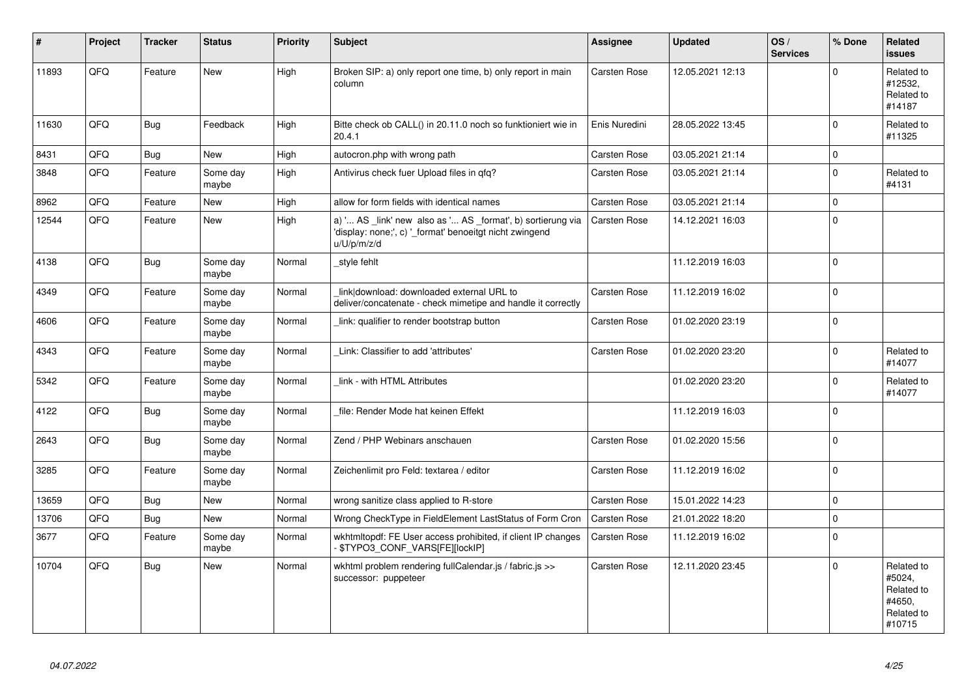| $\vert$ # | Project | <b>Tracker</b> | <b>Status</b>     | <b>Priority</b> | <b>Subject</b>                                                                                                                        | Assignee            | <b>Updated</b>   | OS/<br><b>Services</b> | % Done      | Related<br><b>issues</b>                                             |
|-----------|---------|----------------|-------------------|-----------------|---------------------------------------------------------------------------------------------------------------------------------------|---------------------|------------------|------------------------|-------------|----------------------------------------------------------------------|
| 11893     | QFQ     | Feature        | <b>New</b>        | High            | Broken SIP: a) only report one time, b) only report in main<br>column                                                                 | <b>Carsten Rose</b> | 12.05.2021 12:13 |                        | $\Omega$    | Related to<br>#12532.<br>Related to<br>#14187                        |
| 11630     | QFQ     | <b>Bug</b>     | Feedback          | High            | Bitte check ob CALL() in 20.11.0 noch so funktioniert wie in<br>20.4.1                                                                | Enis Nuredini       | 28.05.2022 13:45 |                        | $\Omega$    | Related to<br>#11325                                                 |
| 8431      | QFQ     | <b>Bug</b>     | New               | High            | autocron.php with wrong path                                                                                                          | Carsten Rose        | 03.05.2021 21:14 |                        | $\mathbf 0$ |                                                                      |
| 3848      | QFQ     | Feature        | Some day<br>maybe | High            | Antivirus check fuer Upload files in gfg?                                                                                             | Carsten Rose        | 03.05.2021 21:14 |                        | $\Omega$    | Related to<br>#4131                                                  |
| 8962      | QFQ     | Feature        | <b>New</b>        | High            | allow for form fields with identical names                                                                                            | Carsten Rose        | 03.05.2021 21:14 |                        | $\Omega$    |                                                                      |
| 12544     | QFQ     | Feature        | New               | High            | a) ' AS _link' new also as ' AS _format', b) sortierung via<br>'display: none;', c) '_format' benoeitgt nicht zwingend<br>u/U/p/m/z/d | Carsten Rose        | 14.12.2021 16:03 |                        | $\Omega$    |                                                                      |
| 4138      | QFQ     | <b>Bug</b>     | Some day<br>maybe | Normal          | _style fehlt                                                                                                                          |                     | 11.12.2019 16:03 |                        | $\Omega$    |                                                                      |
| 4349      | QFQ     | Feature        | Some day<br>maybe | Normal          | link download: downloaded external URL to<br>deliver/concatenate - check mimetipe and handle it correctly                             | Carsten Rose        | 11.12.2019 16:02 |                        | $\Omega$    |                                                                      |
| 4606      | QFQ     | Feature        | Some day<br>maybe | Normal          | link: qualifier to render bootstrap button                                                                                            | Carsten Rose        | 01.02.2020 23:19 |                        | $\Omega$    |                                                                      |
| 4343      | QFQ     | Feature        | Some day<br>maybe | Normal          | Link: Classifier to add 'attributes'                                                                                                  | <b>Carsten Rose</b> | 01.02.2020 23:20 |                        | $\Omega$    | Related to<br>#14077                                                 |
| 5342      | QFQ     | Feature        | Some day<br>maybe | Normal          | link - with HTML Attributes                                                                                                           |                     | 01.02.2020 23:20 |                        | $\Omega$    | Related to<br>#14077                                                 |
| 4122      | QFQ     | <b>Bug</b>     | Some day<br>maybe | Normal          | file: Render Mode hat keinen Effekt                                                                                                   |                     | 11.12.2019 16:03 |                        | $\Omega$    |                                                                      |
| 2643      | QFQ     | <b>Bug</b>     | Some day<br>maybe | Normal          | Zend / PHP Webinars anschauen                                                                                                         | Carsten Rose        | 01.02.2020 15:56 |                        | $\Omega$    |                                                                      |
| 3285      | QFQ     | Feature        | Some day<br>maybe | Normal          | Zeichenlimit pro Feld: textarea / editor                                                                                              | Carsten Rose        | 11.12.2019 16:02 |                        | $\Omega$    |                                                                      |
| 13659     | QFQ     | <b>Bug</b>     | <b>New</b>        | Normal          | wrong sanitize class applied to R-store                                                                                               | Carsten Rose        | 15.01.2022 14:23 |                        | $\Omega$    |                                                                      |
| 13706     | QFQ     | Bug            | New               | Normal          | Wrong CheckType in FieldElement LastStatus of Form Cron                                                                               | <b>Carsten Rose</b> | 21.01.2022 18:20 |                        | $\Omega$    |                                                                      |
| 3677      | QFQ     | Feature        | Some day<br>maybe | Normal          | wkhtmitopdf: FE User access prohibited, if client IP changes<br>- \$TYPO3_CONF_VARS[FE][lockIP]                                       | Carsten Rose        | 11.12.2019 16:02 |                        | $\Omega$    |                                                                      |
| 10704     | QFQ     | Bug            | New               | Normal          | wkhtml problem rendering fullCalendar.js / fabric.js >><br>successor: puppeteer                                                       | Carsten Rose        | 12.11.2020 23:45 |                        | $\Omega$    | Related to<br>#5024,<br>Related to<br>#4650,<br>Related to<br>#10715 |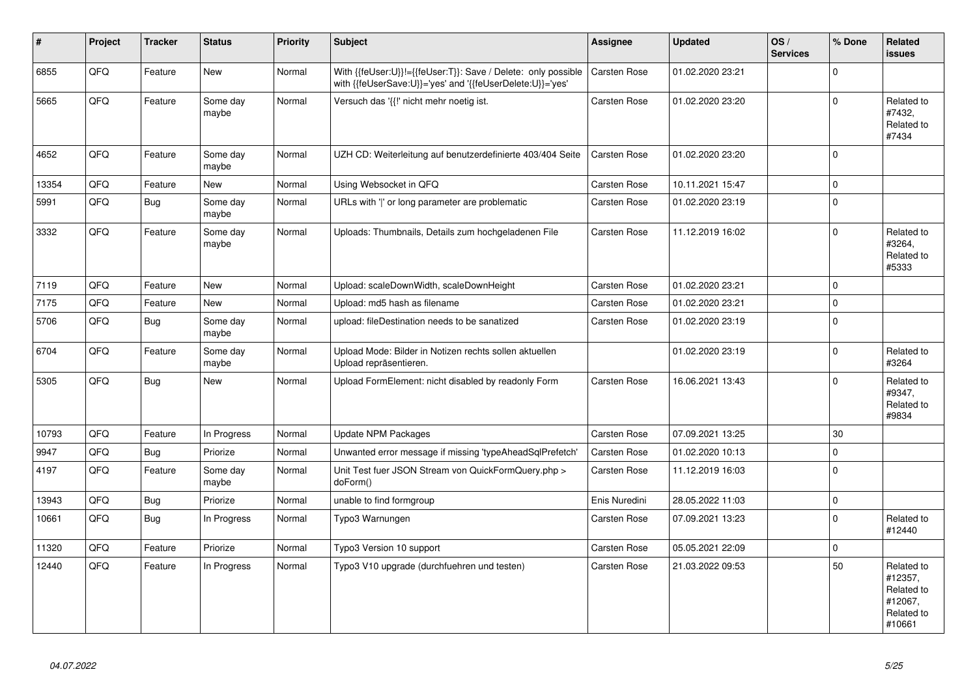| #     | Project | <b>Tracker</b> | <b>Status</b>     | <b>Priority</b> | <b>Subject</b>                                                                                                             | <b>Assignee</b>     | <b>Updated</b>   | OS/<br><b>Services</b> | % Done       | Related<br><b>issues</b>                                               |
|-------|---------|----------------|-------------------|-----------------|----------------------------------------------------------------------------------------------------------------------------|---------------------|------------------|------------------------|--------------|------------------------------------------------------------------------|
| 6855  | QFQ     | Feature        | <b>New</b>        | Normal          | With {{feUser:U}}!={{feUser:T}}: Save / Delete: only possible<br>with {{feUserSave:U}}='yes' and '{{feUserDelete:U}}='yes' | <b>Carsten Rose</b> | 01.02.2020 23:21 |                        | $\mathbf 0$  |                                                                        |
| 5665  | QFQ     | Feature        | Some day<br>maybe | Normal          | Versuch das '{{!' nicht mehr noetig ist.                                                                                   | Carsten Rose        | 01.02.2020 23:20 |                        | $\Omega$     | Related to<br>#7432,<br>Related to<br>#7434                            |
| 4652  | QFQ     | Feature        | Some day<br>maybe | Normal          | UZH CD: Weiterleitung auf benutzerdefinierte 403/404 Seite                                                                 | Carsten Rose        | 01.02.2020 23:20 |                        | $\Omega$     |                                                                        |
| 13354 | QFQ     | Feature        | <b>New</b>        | Normal          | Using Websocket in QFQ                                                                                                     | Carsten Rose        | 10.11.2021 15:47 |                        | $\mathbf{0}$ |                                                                        |
| 5991  | QFQ     | <b>Bug</b>     | Some day<br>maybe | Normal          | URLs with ' ' or long parameter are problematic                                                                            | Carsten Rose        | 01.02.2020 23:19 |                        | $\Omega$     |                                                                        |
| 3332  | QFO     | Feature        | Some day<br>maybe | Normal          | Uploads: Thumbnails, Details zum hochgeladenen File                                                                        | Carsten Rose        | 11.12.2019 16:02 |                        | $\Omega$     | Related to<br>#3264,<br>Related to<br>#5333                            |
| 7119  | QFQ     | Feature        | <b>New</b>        | Normal          | Upload: scaleDownWidth, scaleDownHeight                                                                                    | Carsten Rose        | 01.02.2020 23:21 |                        | $\Omega$     |                                                                        |
| 7175  | QFQ     | Feature        | <b>New</b>        | Normal          | Upload: md5 hash as filename                                                                                               | Carsten Rose        | 01.02.2020 23:21 |                        | $\mathbf 0$  |                                                                        |
| 5706  | QFQ     | <b>Bug</b>     | Some day<br>maybe | Normal          | upload: fileDestination needs to be sanatized                                                                              | Carsten Rose        | 01.02.2020 23:19 |                        | $\Omega$     |                                                                        |
| 6704  | QFQ     | Feature        | Some day<br>maybe | Normal          | Upload Mode: Bilder in Notizen rechts sollen aktuellen<br>Upload repräsentieren.                                           |                     | 01.02.2020 23:19 |                        | $\Omega$     | Related to<br>#3264                                                    |
| 5305  | QFQ     | Bug            | <b>New</b>        | Normal          | Upload FormElement: nicht disabled by readonly Form                                                                        | Carsten Rose        | 16.06.2021 13:43 |                        | $\Omega$     | Related to<br>#9347,<br>Related to<br>#9834                            |
| 10793 | QFQ     | Feature        | In Progress       | Normal          | Update NPM Packages                                                                                                        | Carsten Rose        | 07.09.2021 13:25 |                        | 30           |                                                                        |
| 9947  | QFQ     | Bug            | Priorize          | Normal          | Unwanted error message if missing 'typeAheadSqlPrefetch'                                                                   | <b>Carsten Rose</b> | 01.02.2020 10:13 |                        | $\mathbf 0$  |                                                                        |
| 4197  | QFQ     | Feature        | Some day<br>maybe | Normal          | Unit Test fuer JSON Stream von QuickFormQuery.php ><br>doForm()                                                            | Carsten Rose        | 11.12.2019 16:03 |                        | $\Omega$     |                                                                        |
| 13943 | QFQ     | <b>Bug</b>     | Priorize          | Normal          | unable to find formgroup                                                                                                   | Enis Nuredini       | 28.05.2022 11:03 |                        | $\Omega$     |                                                                        |
| 10661 | QFQ     | Bug            | In Progress       | Normal          | Typo3 Warnungen                                                                                                            | Carsten Rose        | 07.09.2021 13:23 |                        | $\Omega$     | Related to<br>#12440                                                   |
| 11320 | QFQ     | Feature        | Priorize          | Normal          | Typo3 Version 10 support                                                                                                   | Carsten Rose        | 05.05.2021 22:09 |                        | $\mathbf 0$  |                                                                        |
| 12440 | QFQ     | Feature        | In Progress       | Normal          | Typo3 V10 upgrade (durchfuehren und testen)                                                                                | <b>Carsten Rose</b> | 21.03.2022 09:53 |                        | 50           | Related to<br>#12357.<br>Related to<br>#12067,<br>Related to<br>#10661 |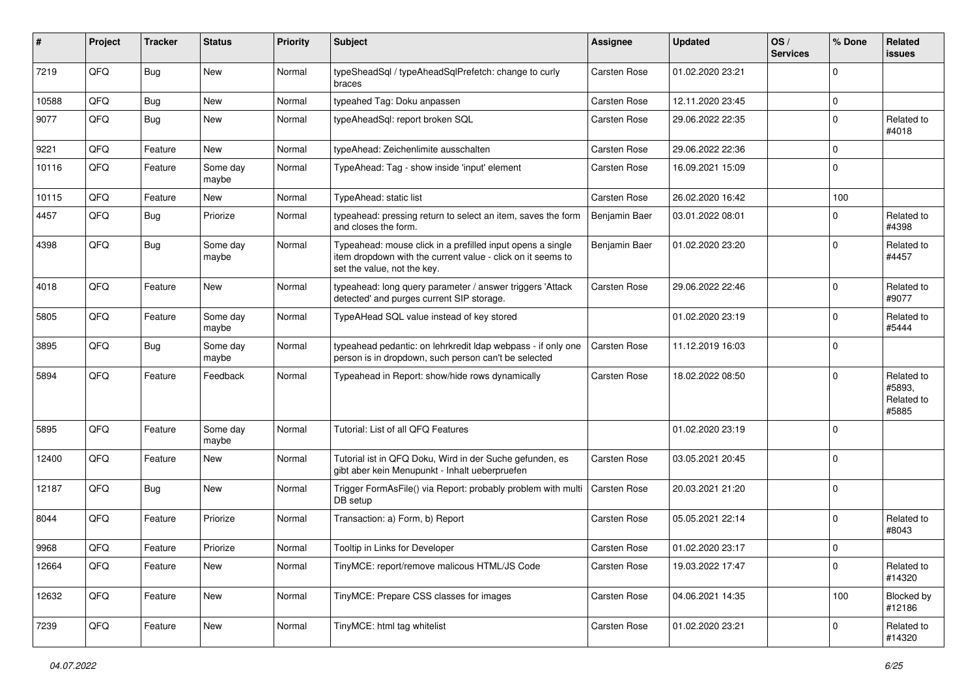| #     | Project | <b>Tracker</b> | <b>Status</b>     | <b>Priority</b> | Subject                                                                                                                                                  | <b>Assignee</b>     | <b>Updated</b>   | OS/<br><b>Services</b> | % Done      | Related<br>issues                           |
|-------|---------|----------------|-------------------|-----------------|----------------------------------------------------------------------------------------------------------------------------------------------------------|---------------------|------------------|------------------------|-------------|---------------------------------------------|
| 7219  | QFQ     | Bug            | <b>New</b>        | Normal          | typeSheadSql / typeAheadSqlPrefetch: change to curly<br>braces                                                                                           | Carsten Rose        | 01.02.2020 23:21 |                        | $\Omega$    |                                             |
| 10588 | QFQ     | <b>Bug</b>     | <b>New</b>        | Normal          | typeahed Tag: Doku anpassen                                                                                                                              | Carsten Rose        | 12.11.2020 23:45 |                        | $\mathbf 0$ |                                             |
| 9077  | QFQ     | <b>Bug</b>     | New               | Normal          | typeAheadSql: report broken SQL                                                                                                                          | Carsten Rose        | 29.06.2022 22:35 |                        | $\Omega$    | Related to<br>#4018                         |
| 9221  | QFQ     | Feature        | <b>New</b>        | Normal          | typeAhead: Zeichenlimite ausschalten                                                                                                                     | Carsten Rose        | 29.06.2022 22:36 |                        | $\mathbf 0$ |                                             |
| 10116 | QFQ     | Feature        | Some day<br>maybe | Normal          | TypeAhead: Tag - show inside 'input' element                                                                                                             | Carsten Rose        | 16.09.2021 15:09 |                        | $\mathbf 0$ |                                             |
| 10115 | QFQ     | Feature        | New               | Normal          | TypeAhead: static list                                                                                                                                   | Carsten Rose        | 26.02.2020 16:42 |                        | 100         |                                             |
| 4457  | QFQ     | Bug            | Priorize          | Normal          | typeahead: pressing return to select an item, saves the form<br>and closes the form.                                                                     | Benjamin Baer       | 03.01.2022 08:01 |                        | $\Omega$    | Related to<br>#4398                         |
| 4398  | QFQ     | Bug            | Some day<br>maybe | Normal          | Typeahead: mouse click in a prefilled input opens a single<br>item dropdown with the current value - click on it seems to<br>set the value, not the key. | Benjamin Baer       | 01.02.2020 23:20 |                        | $\Omega$    | Related to<br>#4457                         |
| 4018  | QFQ     | Feature        | New               | Normal          | typeahead: long query parameter / answer triggers 'Attack<br>detected' and purges current SIP storage.                                                   | <b>Carsten Rose</b> | 29.06.2022 22:46 |                        | $\Omega$    | Related to<br>#9077                         |
| 5805  | QFQ     | Feature        | Some day<br>maybe | Normal          | TypeAHead SQL value instead of key stored                                                                                                                |                     | 01.02.2020 23:19 |                        | $\Omega$    | Related to<br>#5444                         |
| 3895  | QFQ     | Bug            | Some day<br>maybe | Normal          | typeahead pedantic: on lehrkredit Idap webpass - if only one<br>person is in dropdown, such person can't be selected                                     | Carsten Rose        | 11.12.2019 16:03 |                        | $\Omega$    |                                             |
| 5894  | QFQ     | Feature        | Feedback          | Normal          | Typeahead in Report: show/hide rows dynamically                                                                                                          | Carsten Rose        | 18.02.2022 08:50 |                        | $\Omega$    | Related to<br>#5893,<br>Related to<br>#5885 |
| 5895  | QFQ     | Feature        | Some day<br>maybe | Normal          | Tutorial: List of all QFQ Features                                                                                                                       |                     | 01.02.2020 23:19 |                        | $\Omega$    |                                             |
| 12400 | QFQ     | Feature        | New               | Normal          | Tutorial ist in QFQ Doku, Wird in der Suche gefunden, es<br>gibt aber kein Menupunkt - Inhalt ueberpruefen                                               | Carsten Rose        | 03.05.2021 20:45 |                        | $\Omega$    |                                             |
| 12187 | QFQ     | Bug            | New               | Normal          | Trigger FormAsFile() via Report: probably problem with multi<br>DB setup                                                                                 | Carsten Rose        | 20.03.2021 21:20 |                        | $\mathbf 0$ |                                             |
| 8044  | QFQ     | Feature        | Priorize          | Normal          | Transaction: a) Form, b) Report                                                                                                                          | Carsten Rose        | 05.05.2021 22:14 |                        | $\Omega$    | Related to<br>#8043                         |
| 9968  | QFQ     | Feature        | Priorize          | Normal          | Tooltip in Links for Developer                                                                                                                           | <b>Carsten Rose</b> | 01.02.2020 23:17 |                        | $\Omega$    |                                             |
| 12664 | QFQ     | Feature        | New               | Normal          | TinyMCE: report/remove malicous HTML/JS Code                                                                                                             | Carsten Rose        | 19.03.2022 17:47 |                        | $\mathbf 0$ | Related to<br>#14320                        |
| 12632 | QFQ     | Feature        | New               | Normal          | TinyMCE: Prepare CSS classes for images                                                                                                                  | Carsten Rose        | 04.06.2021 14:35 |                        | 100         | Blocked by<br>#12186                        |
| 7239  | QFQ     | Feature        | New               | Normal          | TinyMCE: html tag whitelist                                                                                                                              | Carsten Rose        | 01.02.2020 23:21 |                        | 0           | Related to<br>#14320                        |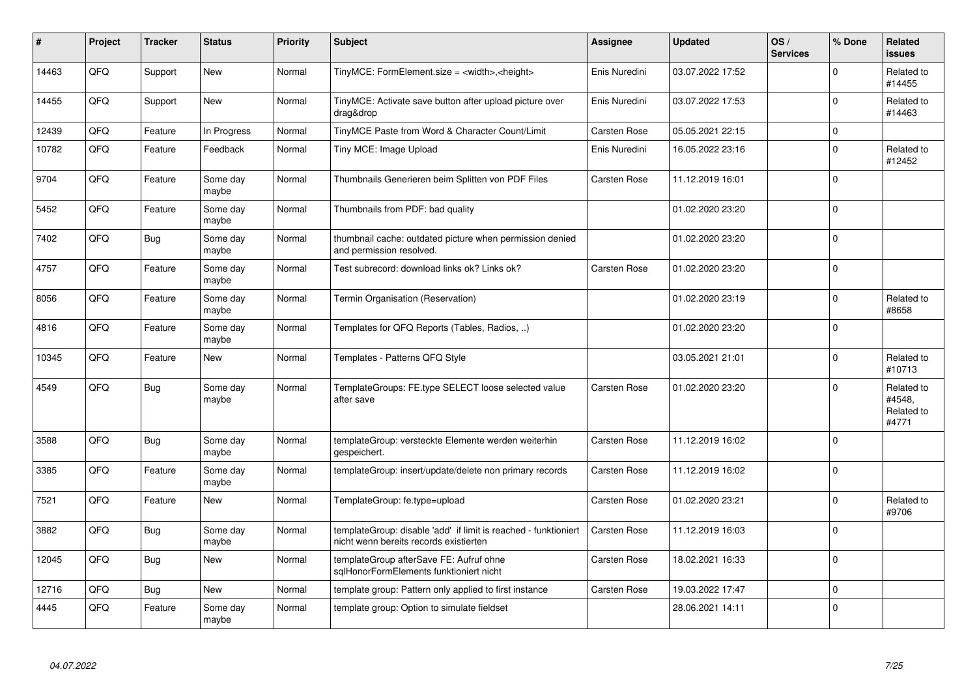| #     | Project | <b>Tracker</b> | <b>Status</b>     | <b>Priority</b> | <b>Subject</b>                                                                                            | <b>Assignee</b>     | <b>Updated</b>   | OS/<br><b>Services</b> | % Done      | Related<br><b>issues</b>                    |
|-------|---------|----------------|-------------------|-----------------|-----------------------------------------------------------------------------------------------------------|---------------------|------------------|------------------------|-------------|---------------------------------------------|
| 14463 | QFQ     | Support        | <b>New</b>        | Normal          | TinyMCE: FormElement.size = <width>,<height></height></width>                                             | Enis Nuredini       | 03.07.2022 17:52 |                        | $\Omega$    | Related to<br>#14455                        |
| 14455 | QFQ     | Support        | <b>New</b>        | Normal          | TinyMCE: Activate save button after upload picture over<br>drag&drop                                      | Enis Nuredini       | 03.07.2022 17:53 |                        | $\Omega$    | Related to<br>#14463                        |
| 12439 | QFQ     | Feature        | In Progress       | Normal          | TinyMCE Paste from Word & Character Count/Limit                                                           | Carsten Rose        | 05.05.2021 22:15 |                        | $\mathbf 0$ |                                             |
| 10782 | QFQ     | Feature        | Feedback          | Normal          | Tiny MCE: Image Upload                                                                                    | Enis Nuredini       | 16.05.2022 23:16 |                        | $\Omega$    | Related to<br>#12452                        |
| 9704  | QFQ     | Feature        | Some day<br>maybe | Normal          | Thumbnails Generieren beim Splitten von PDF Files                                                         | Carsten Rose        | 11.12.2019 16:01 |                        | $\Omega$    |                                             |
| 5452  | QFQ     | Feature        | Some day<br>maybe | Normal          | Thumbnails from PDF: bad quality                                                                          |                     | 01.02.2020 23:20 |                        | $\Omega$    |                                             |
| 7402  | QFQ     | Bug            | Some day<br>maybe | Normal          | thumbnail cache: outdated picture when permission denied<br>and permission resolved.                      |                     | 01.02.2020 23:20 |                        | $\Omega$    |                                             |
| 4757  | QFQ     | Feature        | Some day<br>maybe | Normal          | Test subrecord: download links ok? Links ok?                                                              | Carsten Rose        | 01.02.2020 23:20 |                        | $\Omega$    |                                             |
| 8056  | QFQ     | Feature        | Some day<br>maybe | Normal          | Termin Organisation (Reservation)                                                                         |                     | 01.02.2020 23:19 |                        | $\Omega$    | Related to<br>#8658                         |
| 4816  | QFQ     | Feature        | Some day<br>maybe | Normal          | Templates for QFQ Reports (Tables, Radios, )                                                              |                     | 01.02.2020 23:20 |                        | $\Omega$    |                                             |
| 10345 | QFQ     | Feature        | <b>New</b>        | Normal          | Templates - Patterns QFQ Style                                                                            |                     | 03.05.2021 21:01 |                        | $\Omega$    | Related to<br>#10713                        |
| 4549  | QFQ     | <b>Bug</b>     | Some day<br>maybe | Normal          | TemplateGroups: FE.type SELECT loose selected value<br>after save                                         | Carsten Rose        | 01.02.2020 23:20 |                        | $\Omega$    | Related to<br>#4548,<br>Related to<br>#4771 |
| 3588  | QFQ     | <b>Bug</b>     | Some day<br>maybe | Normal          | templateGroup: versteckte Elemente werden weiterhin<br>gespeichert.                                       | Carsten Rose        | 11.12.2019 16:02 |                        | $\Omega$    |                                             |
| 3385  | QFQ     | Feature        | Some day<br>maybe | Normal          | templateGroup: insert/update/delete non primary records                                                   | Carsten Rose        | 11.12.2019 16:02 |                        | $\Omega$    |                                             |
| 7521  | QFQ     | Feature        | New               | Normal          | TemplateGroup: fe.type=upload                                                                             | Carsten Rose        | 01.02.2020 23:21 |                        | $\Omega$    | Related to<br>#9706                         |
| 3882  | QFQ     | <b>Bug</b>     | Some day<br>maybe | Normal          | templateGroup: disable 'add' if limit is reached - funktioniert<br>nicht wenn bereits records existierten | Carsten Rose        | 11.12.2019 16:03 |                        | $\Omega$    |                                             |
| 12045 | QFQ     | Bug            | <b>New</b>        | Normal          | templateGroup afterSave FE: Aufruf ohne<br>sglHonorFormElements funktioniert nicht                        | Carsten Rose        | 18.02.2021 16:33 |                        | $\Omega$    |                                             |
| 12716 | QFQ     | <b>Bug</b>     | <b>New</b>        | Normal          | template group: Pattern only applied to first instance                                                    | <b>Carsten Rose</b> | 19.03.2022 17:47 |                        | $\mathbf 0$ |                                             |
| 4445  | QFQ     | Feature        | Some day<br>maybe | Normal          | template group: Option to simulate fieldset                                                               |                     | 28.06.2021 14:11 |                        | $\Omega$    |                                             |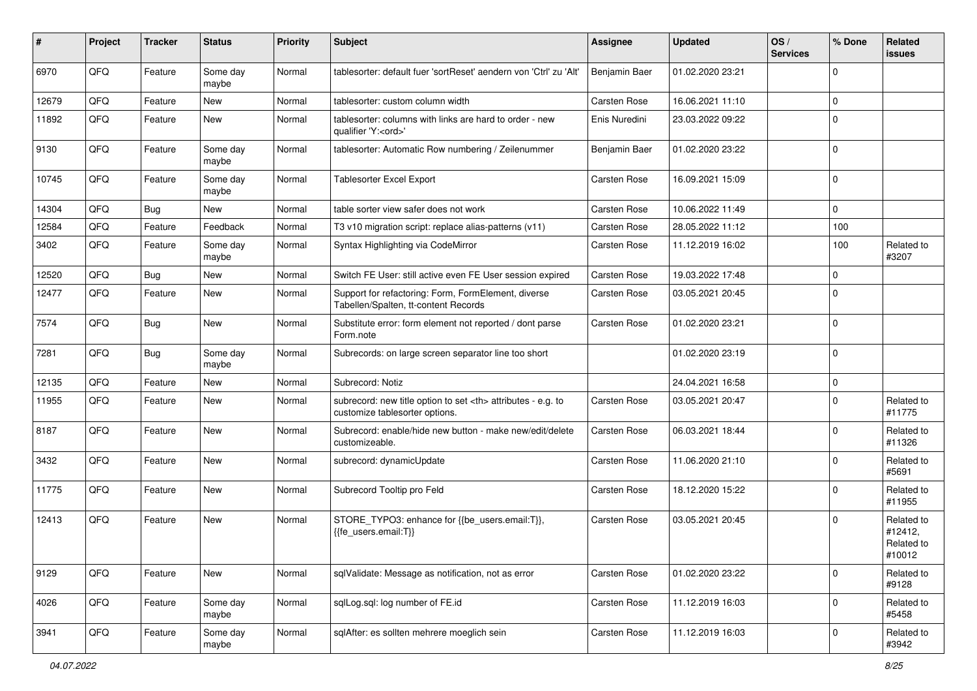| ∦     | Project | <b>Tracker</b> | <b>Status</b>     | <b>Priority</b> | Subject                                                                                              | Assignee                                               | <b>Updated</b>   | OS/<br><b>Services</b> | % Done       | Related<br>issues                             |                      |
|-------|---------|----------------|-------------------|-----------------|------------------------------------------------------------------------------------------------------|--------------------------------------------------------|------------------|------------------------|--------------|-----------------------------------------------|----------------------|
| 6970  | QFQ     | Feature        | Some day<br>maybe | Normal          | tablesorter: default fuer 'sortReset' aendern von 'Ctrl' zu 'Alt'                                    | Benjamin Baer                                          | 01.02.2020 23:21 |                        | $\Omega$     |                                               |                      |
| 12679 | QFQ     | Feature        | New               | Normal          | tablesorter: custom column width                                                                     | Carsten Rose                                           | 16.06.2021 11:10 |                        | $\mathbf 0$  |                                               |                      |
| 11892 | QFQ     | Feature        | New               | Normal          | tablesorter: columns with links are hard to order - new<br>qualifier 'Y: <ord>'</ord>                | Enis Nuredini                                          | 23.03.2022 09:22 |                        | $\Omega$     |                                               |                      |
| 9130  | QFQ     | Feature        | Some day<br>maybe | Normal          | tablesorter: Automatic Row numbering / Zeilenummer                                                   | Benjamin Baer                                          | 01.02.2020 23:22 |                        | $\Omega$     |                                               |                      |
| 10745 | QFQ     | Feature        | Some day<br>maybe | Normal          | <b>Tablesorter Excel Export</b>                                                                      | Carsten Rose                                           | 16.09.2021 15:09 |                        | $\Omega$     |                                               |                      |
| 14304 | QFQ     | Bug            | New               | Normal          | table sorter view safer does not work                                                                | Carsten Rose                                           | 10.06.2022 11:49 |                        | $\Omega$     |                                               |                      |
| 12584 | QFQ     | Feature        | Feedback          | Normal          | T3 v10 migration script: replace alias-patterns (v11)                                                | Carsten Rose                                           | 28.05.2022 11:12 |                        | 100          |                                               |                      |
| 3402  | QFQ     | Feature        | Some day<br>maybe | Normal          | Syntax Highlighting via CodeMirror                                                                   | Carsten Rose                                           | 11.12.2019 16:02 |                        | 100          | Related to<br>#3207                           |                      |
| 12520 | QFQ     | Bug            | New               | Normal          | Switch FE User: still active even FE User session expired                                            | Carsten Rose                                           | 19.03.2022 17:48 |                        | $\Omega$     |                                               |                      |
| 12477 | QFQ     | Feature        | <b>New</b>        | Normal          | Support for refactoring: Form, FormElement, diverse<br>Tabellen/Spalten, tt-content Records          | Carsten Rose                                           | 03.05.2021 20:45 |                        | $\Omega$     |                                               |                      |
| 7574  | QFQ     | Bug            | <b>New</b>        | Normal          | Substitute error: form element not reported / dont parse<br>Form.note                                | Carsten Rose                                           | 01.02.2020 23:21 |                        | $\mathbf 0$  |                                               |                      |
| 7281  | QFQ     | Bug            | Some day<br>maybe | Normal          | Subrecords: on large screen separator line too short                                                 |                                                        | 01.02.2020 23:19 |                        | $\Omega$     |                                               |                      |
| 12135 | QFQ     | Feature        | New               | Normal          | Subrecord: Notiz                                                                                     |                                                        | 24.04.2021 16:58 |                        | $\mathbf{0}$ |                                               |                      |
| 11955 | QFQ     | Feature        | New               | Normal          | subrecord: new title option to set <th> attributes - e.g. to<br/>customize tablesorter options.</th> | attributes - e.g. to<br>customize tablesorter options. | Carsten Rose     | 03.05.2021 20:47       |              | $\Omega$                                      | Related to<br>#11775 |
| 8187  | QFQ     | Feature        | <b>New</b>        | Normal          | Subrecord: enable/hide new button - make new/edit/delete<br>customizeable.                           | Carsten Rose                                           | 06.03.2021 18:44 |                        | $\Omega$     | Related to<br>#11326                          |                      |
| 3432  | QFQ     | Feature        | New               | Normal          | subrecord: dynamicUpdate                                                                             | Carsten Rose                                           | 11.06.2020 21:10 |                        | $\Omega$     | Related to<br>#5691                           |                      |
| 11775 | QFQ     | Feature        | <b>New</b>        | Normal          | Subrecord Tooltip pro Feld                                                                           | Carsten Rose                                           | 18.12.2020 15:22 |                        | $\Omega$     | Related to<br>#11955                          |                      |
| 12413 | QFQ     | Feature        | <b>New</b>        | Normal          | STORE_TYPO3: enhance for {{be_users.email:T}},<br>{{fe users.email:T}}                               | <b>Carsten Rose</b>                                    | 03.05.2021 20:45 |                        | $\Omega$     | Related to<br>#12412,<br>Related to<br>#10012 |                      |
| 9129  | QFQ     | Feature        | New               | Normal          | sqlValidate: Message as notification, not as error                                                   | Carsten Rose                                           | 01.02.2020 23:22 |                        | $\mathbf 0$  | Related to<br>#9128                           |                      |
| 4026  | QFQ     | Feature        | Some day<br>maybe | Normal          | sqlLog.sql: log number of FE.id                                                                      | Carsten Rose                                           | 11.12.2019 16:03 |                        | $\mathbf{0}$ | Related to<br>#5458                           |                      |
| 3941  | QFQ     | Feature        | Some day<br>maybe | Normal          | sqlAfter: es sollten mehrere moeglich sein                                                           | Carsten Rose                                           | 11.12.2019 16:03 |                        | $\mathbf 0$  | Related to<br>#3942                           |                      |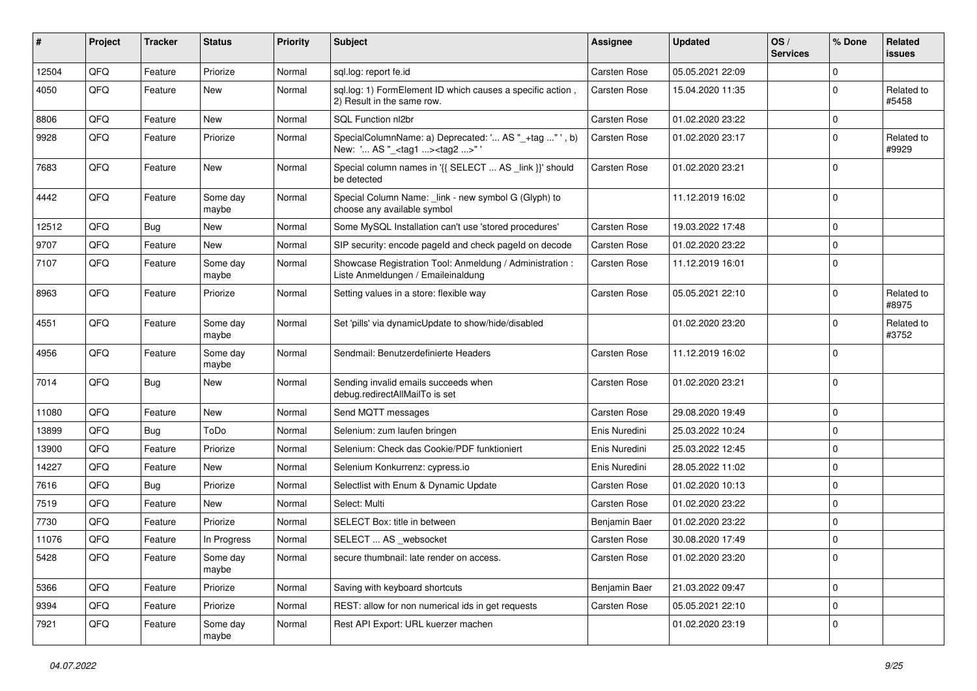| #     | Project | <b>Tracker</b> | <b>Status</b>     | <b>Priority</b> | <b>Subject</b>                                                                                     | <b>Assignee</b>     | <b>Updated</b>   | OS/<br><b>Services</b> | % Done         | Related<br>issues   |
|-------|---------|----------------|-------------------|-----------------|----------------------------------------------------------------------------------------------------|---------------------|------------------|------------------------|----------------|---------------------|
| 12504 | QFQ     | Feature        | Priorize          | Normal          | sql.log: report fe.id                                                                              | Carsten Rose        | 05.05.2021 22:09 |                        | $\Omega$       |                     |
| 4050  | QFQ     | Feature        | New               | Normal          | sql.log: 1) FormElement ID which causes a specific action,<br>2) Result in the same row.           | <b>Carsten Rose</b> | 15.04.2020 11:35 |                        | 0              | Related to<br>#5458 |
| 8806  | QFQ     | Feature        | <b>New</b>        | Normal          | SQL Function nl2br                                                                                 | Carsten Rose        | 01.02.2020 23:22 |                        | 0              |                     |
| 9928  | QFQ     | Feature        | Priorize          | Normal          | SpecialColumnName: a) Deprecated: ' AS "_+tag " ', b)<br>New: ' AS "_ <tag1><tag2>"'</tag2></tag1> | Carsten Rose        | 01.02.2020 23:17 |                        | $\Omega$       | Related to<br>#9929 |
| 7683  | QFQ     | Feature        | <b>New</b>        | Normal          | Special column names in '{{ SELECT  AS _link }}' should<br>be detected                             | <b>Carsten Rose</b> | 01.02.2020 23:21 |                        | $\mathbf 0$    |                     |
| 4442  | QFQ     | Feature        | Some day<br>maybe | Normal          | Special Column Name: _link - new symbol G (Glyph) to<br>choose any available symbol                |                     | 11.12.2019 16:02 |                        | $\mathbf 0$    |                     |
| 12512 | QFQ     | Bug            | <b>New</b>        | Normal          | Some MySQL Installation can't use 'stored procedures'                                              | <b>Carsten Rose</b> | 19.03.2022 17:48 |                        | $\mathbf 0$    |                     |
| 9707  | QFQ     | Feature        | <b>New</b>        | Normal          | SIP security: encode pageld and check pageld on decode                                             | <b>Carsten Rose</b> | 01.02.2020 23:22 |                        | $\mathbf 0$    |                     |
| 7107  | QFQ     | Feature        | Some day<br>maybe | Normal          | Showcase Registration Tool: Anmeldung / Administration :<br>Liste Anmeldungen / Emaileinaldung     | Carsten Rose        | 11.12.2019 16:01 |                        | $\mathbf 0$    |                     |
| 8963  | QFQ     | Feature        | Priorize          | Normal          | Setting values in a store: flexible way                                                            | <b>Carsten Rose</b> | 05.05.2021 22:10 |                        | 0              | Related to<br>#8975 |
| 4551  | QFQ     | Feature        | Some day<br>maybe | Normal          | Set 'pills' via dynamicUpdate to show/hide/disabled                                                |                     | 01.02.2020 23:20 |                        | $\Omega$       | Related to<br>#3752 |
| 4956  | QFQ     | Feature        | Some day<br>maybe | Normal          | Sendmail: Benutzerdefinierte Headers                                                               | <b>Carsten Rose</b> | 11.12.2019 16:02 |                        | $\Omega$       |                     |
| 7014  | QFQ     | Bug            | <b>New</b>        | Normal          | Sending invalid emails succeeds when<br>debug.redirectAllMailTo is set                             | <b>Carsten Rose</b> | 01.02.2020 23:21 |                        | $\Omega$       |                     |
| 11080 | QFQ     | Feature        | <b>New</b>        | Normal          | Send MQTT messages                                                                                 | <b>Carsten Rose</b> | 29.08.2020 19:49 |                        | $\mathbf 0$    |                     |
| 13899 | QFQ     | <b>Bug</b>     | ToDo              | Normal          | Selenium: zum laufen bringen                                                                       | Enis Nuredini       | 25.03.2022 10:24 |                        | $\mathbf 0$    |                     |
| 13900 | QFQ     | Feature        | Priorize          | Normal          | Selenium: Check das Cookie/PDF funktioniert                                                        | Enis Nuredini       | 25.03.2022 12:45 |                        | $\mathbf 0$    |                     |
| 14227 | QFQ     | Feature        | New               | Normal          | Selenium Konkurrenz: cypress.io                                                                    | Enis Nuredini       | 28.05.2022 11:02 |                        | $\mathbf 0$    |                     |
| 7616  | QFQ     | <b>Bug</b>     | Priorize          | Normal          | Selectlist with Enum & Dynamic Update                                                              | Carsten Rose        | 01.02.2020 10:13 |                        | $\Omega$       |                     |
| 7519  | QFQ     | Feature        | New               | Normal          | Select: Multi                                                                                      | <b>Carsten Rose</b> | 01.02.2020 23:22 |                        | $\mathbf 0$    |                     |
| 7730  | QFQ     | Feature        | Priorize          | Normal          | SELECT Box: title in between                                                                       | Benjamin Baer       | 01.02.2020 23:22 |                        | 0              |                     |
| 11076 | QFQ     | Feature        | In Progress       | Normal          | SELECT  AS _websocket                                                                              | Carsten Rose        | 30.08.2020 17:49 |                        | $\mathbf 0$    |                     |
| 5428  | QFQ     | Feature        | Some day<br>maybe | Normal          | secure thumbnail: late render on access.                                                           | Carsten Rose        | 01.02.2020 23:20 |                        | $\overline{0}$ |                     |
| 5366  | QFQ     | Feature        | Priorize          | Normal          | Saving with keyboard shortcuts                                                                     | Benjamin Baer       | 21.03.2022 09:47 |                        | $\overline{0}$ |                     |
| 9394  | QFQ     | Feature        | Priorize          | Normal          | REST: allow for non numerical ids in get requests                                                  | Carsten Rose        | 05.05.2021 22:10 |                        | 0              |                     |
| 7921  | QFQ     | Feature        | Some day<br>maybe | Normal          | Rest API Export: URL kuerzer machen                                                                |                     | 01.02.2020 23:19 |                        | $\overline{0}$ |                     |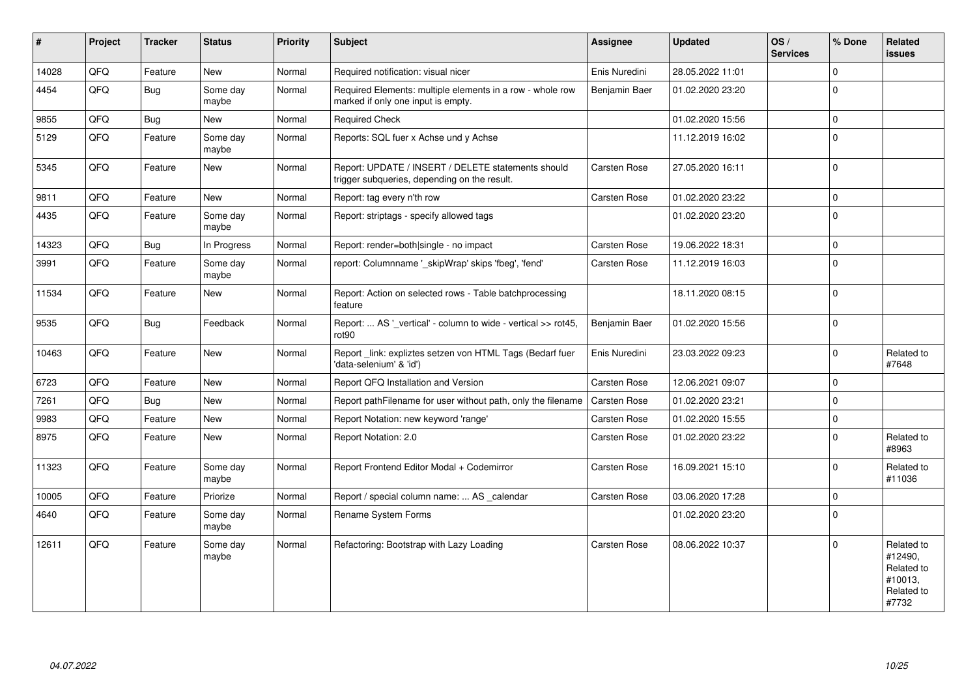| $\vert$ # | Project | <b>Tracker</b> | <b>Status</b>     | <b>Priority</b> | Subject                                                                                            | <b>Assignee</b>     | <b>Updated</b>   | OS/<br><b>Services</b> | % Done       | Related<br><b>issues</b>                                              |
|-----------|---------|----------------|-------------------|-----------------|----------------------------------------------------------------------------------------------------|---------------------|------------------|------------------------|--------------|-----------------------------------------------------------------------|
| 14028     | QFQ     | Feature        | New               | Normal          | Required notification: visual nicer                                                                | Enis Nuredini       | 28.05.2022 11:01 |                        | 0            |                                                                       |
| 4454      | QFQ     | Bug            | Some day<br>maybe | Normal          | Required Elements: multiple elements in a row - whole row<br>marked if only one input is empty.    | Benjamin Baer       | 01.02.2020 23:20 |                        | $\Omega$     |                                                                       |
| 9855      | QFQ     | Bug            | New               | Normal          | <b>Required Check</b>                                                                              |                     | 01.02.2020 15:56 |                        | $\mathbf 0$  |                                                                       |
| 5129      | QFQ     | Feature        | Some day<br>maybe | Normal          | Reports: SQL fuer x Achse und y Achse                                                              |                     | 11.12.2019 16:02 |                        | 0            |                                                                       |
| 5345      | QFQ     | Feature        | New               | Normal          | Report: UPDATE / INSERT / DELETE statements should<br>trigger subqueries, depending on the result. | Carsten Rose        | 27.05.2020 16:11 |                        | $\mathbf 0$  |                                                                       |
| 9811      | QFQ     | Feature        | New               | Normal          | Report: tag every n'th row                                                                         | Carsten Rose        | 01.02.2020 23:22 |                        | $\Omega$     |                                                                       |
| 4435      | QFQ     | Feature        | Some day<br>maybe | Normal          | Report: striptags - specify allowed tags                                                           |                     | 01.02.2020 23:20 |                        | $\mathbf{0}$ |                                                                       |
| 14323     | QFQ     | Bug            | In Progress       | Normal          | Report: render=both single - no impact                                                             | Carsten Rose        | 19.06.2022 18:31 |                        | 0            |                                                                       |
| 3991      | QFQ     | Feature        | Some day<br>maybe | Normal          | report: Columnname ' skipWrap' skips 'fbeg', 'fend'                                                | Carsten Rose        | 11.12.2019 16:03 |                        | $\Omega$     |                                                                       |
| 11534     | QFQ     | Feature        | <b>New</b>        | Normal          | Report: Action on selected rows - Table batchprocessing<br>feature                                 |                     | 18.11.2020 08:15 |                        | $\Omega$     |                                                                       |
| 9535      | QFQ     | <b>Bug</b>     | Feedback          | Normal          | Report:  AS '_vertical' - column to wide - vertical >> rot45,<br>rot90                             | Benjamin Baer       | 01.02.2020 15:56 |                        | $\Omega$     |                                                                       |
| 10463     | QFQ     | Feature        | New               | Normal          | Report _link: expliztes setzen von HTML Tags (Bedarf fuer<br>'data-selenium' & 'id')               | Enis Nuredini       | 23.03.2022 09:23 |                        | 0            | Related to<br>#7648                                                   |
| 6723      | QFQ     | Feature        | <b>New</b>        | Normal          | Report QFQ Installation and Version                                                                | Carsten Rose        | 12.06.2021 09:07 |                        | $\Omega$     |                                                                       |
| 7261      | QFQ     | Bug            | <b>New</b>        | Normal          | Report pathFilename for user without path, only the filename                                       | <b>Carsten Rose</b> | 01.02.2020 23:21 |                        | 0            |                                                                       |
| 9983      | QFQ     | Feature        | New               | Normal          | Report Notation: new keyword 'range'                                                               | Carsten Rose        | 01.02.2020 15:55 |                        | 0            |                                                                       |
| 8975      | QFO     | Feature        | <b>New</b>        | Normal          | Report Notation: 2.0                                                                               | Carsten Rose        | 01.02.2020 23:22 |                        | $\Omega$     | Related to<br>#8963                                                   |
| 11323     | QFQ     | Feature        | Some day<br>maybe | Normal          | Report Frontend Editor Modal + Codemirror                                                          | Carsten Rose        | 16.09.2021 15:10 |                        | <sup>0</sup> | Related to<br>#11036                                                  |
| 10005     | QFQ     | Feature        | Priorize          | Normal          | Report / special column name:  AS calendar                                                         | Carsten Rose        | 03.06.2020 17:28 |                        | 0            |                                                                       |
| 4640      | QFQ     | Feature        | Some day<br>maybe | Normal          | <b>Rename System Forms</b>                                                                         |                     | 01.02.2020 23:20 |                        | $\Omega$     |                                                                       |
| 12611     | QFQ     | Feature        | Some day<br>maybe | Normal          | Refactoring: Bootstrap with Lazy Loading                                                           | Carsten Rose        | 08.06.2022 10:37 |                        | 0            | Related to<br>#12490,<br>Related to<br>#10013,<br>Related to<br>#7732 |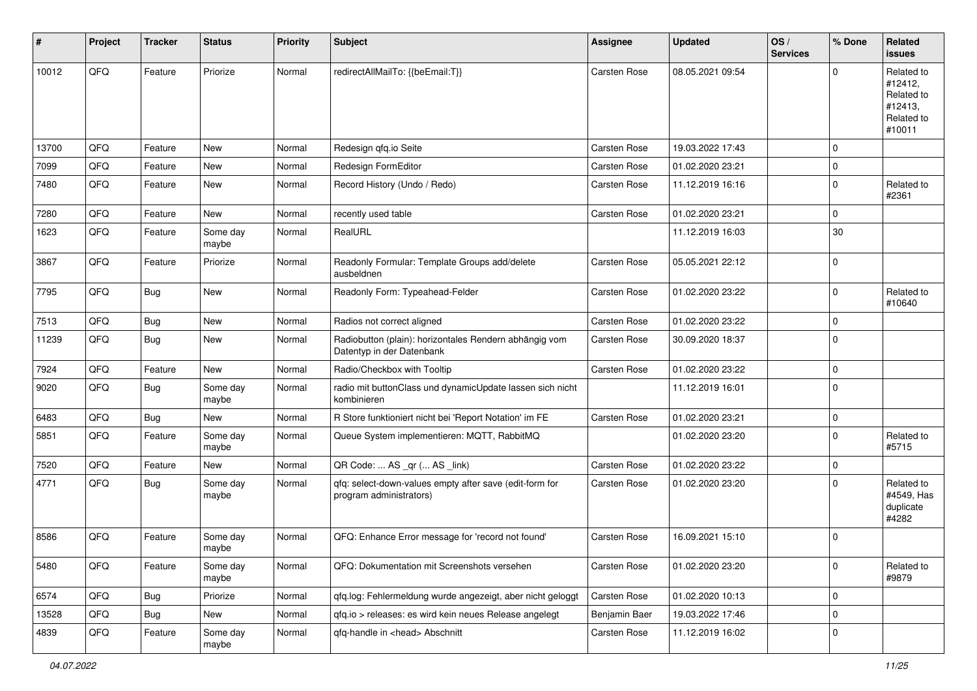| #     | Project | <b>Tracker</b> | <b>Status</b>     | <b>Priority</b> | <b>Subject</b>                                                                      | <b>Assignee</b>     | <b>Updated</b>   | OS/<br><b>Services</b> | % Done      | Related<br>issues                                                      |
|-------|---------|----------------|-------------------|-----------------|-------------------------------------------------------------------------------------|---------------------|------------------|------------------------|-------------|------------------------------------------------------------------------|
| 10012 | QFQ     | Feature        | Priorize          | Normal          | redirectAllMailTo: {{beEmail:T}}                                                    | <b>Carsten Rose</b> | 08.05.2021 09:54 |                        | $\Omega$    | Related to<br>#12412,<br>Related to<br>#12413,<br>Related to<br>#10011 |
| 13700 | QFQ     | Feature        | <b>New</b>        | Normal          | Redesign qfq.io Seite                                                               | <b>Carsten Rose</b> | 19.03.2022 17:43 |                        | $\mathbf 0$ |                                                                        |
| 7099  | QFQ     | Feature        | New               | Normal          | Redesign FormEditor                                                                 | Carsten Rose        | 01.02.2020 23:21 |                        | $\mathbf 0$ |                                                                        |
| 7480  | QFQ     | Feature        | <b>New</b>        | Normal          | Record History (Undo / Redo)                                                        | Carsten Rose        | 11.12.2019 16:16 |                        | $\mathbf 0$ | Related to<br>#2361                                                    |
| 7280  | QFQ     | Feature        | New               | Normal          | recently used table                                                                 | Carsten Rose        | 01.02.2020 23:21 |                        | $\mathbf 0$ |                                                                        |
| 1623  | QFQ     | Feature        | Some day<br>maybe | Normal          | RealURL                                                                             |                     | 11.12.2019 16:03 |                        | 30          |                                                                        |
| 3867  | QFQ     | Feature        | Priorize          | Normal          | Readonly Formular: Template Groups add/delete<br>ausbeldnen                         | Carsten Rose        | 05.05.2021 22:12 |                        | $\Omega$    |                                                                        |
| 7795  | QFQ     | Bug            | New               | Normal          | Readonly Form: Typeahead-Felder                                                     | Carsten Rose        | 01.02.2020 23:22 |                        | $\mathbf 0$ | Related to<br>#10640                                                   |
| 7513  | QFQ     | <b>Bug</b>     | New               | Normal          | Radios not correct aligned                                                          | Carsten Rose        | 01.02.2020 23:22 |                        | $\Omega$    |                                                                        |
| 11239 | QFQ     | Bug            | New               | Normal          | Radiobutton (plain): horizontales Rendern abhängig vom<br>Datentyp in der Datenbank | Carsten Rose        | 30.09.2020 18:37 |                        | $\Omega$    |                                                                        |
| 7924  | QFQ     | Feature        | New               | Normal          | Radio/Checkbox with Tooltip                                                         | Carsten Rose        | 01.02.2020 23:22 |                        | $\mathbf 0$ |                                                                        |
| 9020  | QFQ     | Bug            | Some day<br>maybe | Normal          | radio mit buttonClass und dynamicUpdate lassen sich nicht<br>kombinieren            |                     | 11.12.2019 16:01 |                        | $\Omega$    |                                                                        |
| 6483  | QFQ     | Bug            | New               | Normal          | R Store funktioniert nicht bei 'Report Notation' im FE                              | Carsten Rose        | 01.02.2020 23:21 |                        | $\mathbf 0$ |                                                                        |
| 5851  | QFQ     | Feature        | Some day<br>maybe | Normal          | Queue System implementieren: MQTT, RabbitMQ                                         |                     | 01.02.2020 23:20 |                        | $\Omega$    | Related to<br>#5715                                                    |
| 7520  | QFQ     | Feature        | New               | Normal          | QR Code:  AS _qr ( AS _link)                                                        | Carsten Rose        | 01.02.2020 23:22 |                        | $\mathbf 0$ |                                                                        |
| 4771  | QFQ     | Bug            | Some day<br>maybe | Normal          | qfq: select-down-values empty after save (edit-form for<br>program administrators)  | Carsten Rose        | 01.02.2020 23:20 |                        | $\mathbf 0$ | Related to<br>#4549, Has<br>duplicate<br>#4282                         |
| 8586  | QFQ     | Feature        | Some day<br>maybe | Normal          | QFQ: Enhance Error message for 'record not found'                                   | Carsten Rose        | 16.09.2021 15:10 |                        | $\mathbf 0$ |                                                                        |
| 5480  | QFQ     | Feature        | Some day<br>maybe | Normal          | QFQ: Dokumentation mit Screenshots versehen                                         | Carsten Rose        | 01.02.2020 23:20 |                        | $\mathbf 0$ | Related to<br>#9879                                                    |
| 6574  | QFQ     | Bug            | Priorize          | Normal          | qfq.log: Fehlermeldung wurde angezeigt, aber nicht geloggt                          | Carsten Rose        | 01.02.2020 10:13 |                        | $\mathbf 0$ |                                                                        |
| 13528 | QFQ     | <b>Bug</b>     | New               | Normal          | qfq.io > releases: es wird kein neues Release angelegt                              | Benjamin Baer       | 19.03.2022 17:46 |                        | $\mathbf 0$ |                                                                        |
| 4839  | QFQ     | Feature        | Some day<br>maybe | Normal          | qfq-handle in <head> Abschnitt</head>                                               | Carsten Rose        | 11.12.2019 16:02 |                        | $\mathbf 0$ |                                                                        |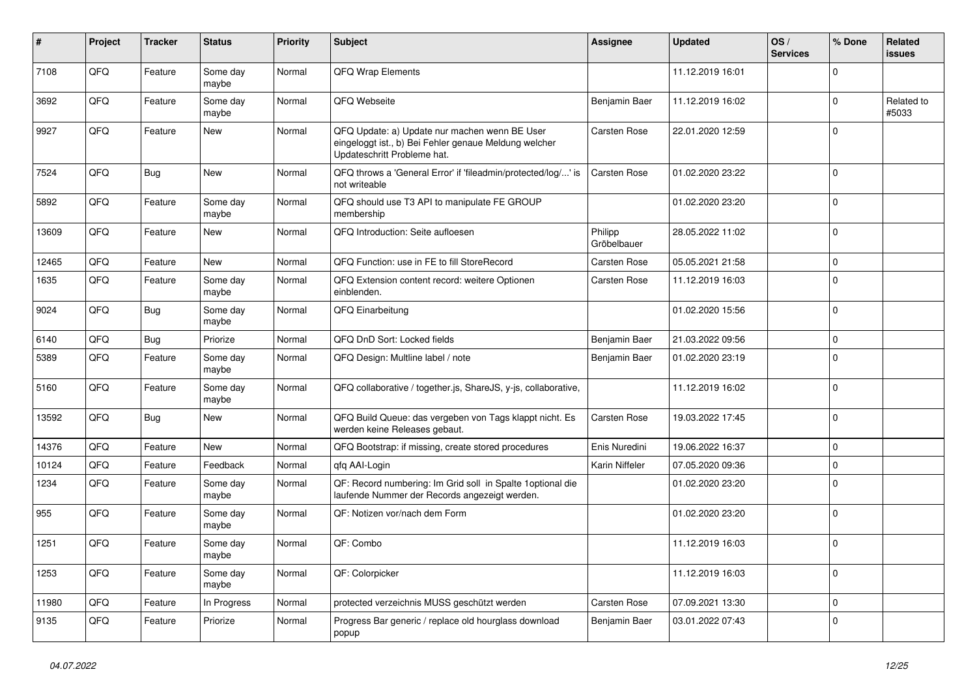| $\#$  | Project | <b>Tracker</b> | <b>Status</b>     | <b>Priority</b> | <b>Subject</b>                                                                                                                        | <b>Assignee</b>        | <b>Updated</b>   | OS/<br><b>Services</b> | % Done         | Related<br><b>issues</b> |
|-------|---------|----------------|-------------------|-----------------|---------------------------------------------------------------------------------------------------------------------------------------|------------------------|------------------|------------------------|----------------|--------------------------|
| 7108  | QFQ     | Feature        | Some day<br>maybe | Normal          | QFQ Wrap Elements                                                                                                                     |                        | 11.12.2019 16:01 |                        | $\Omega$       |                          |
| 3692  | QFQ     | Feature        | Some day<br>maybe | Normal          | QFQ Webseite                                                                                                                          | Benjamin Baer          | 11.12.2019 16:02 |                        | $\Omega$       | Related to<br>#5033      |
| 9927  | QFQ     | Feature        | New               | Normal          | QFQ Update: a) Update nur machen wenn BE User<br>eingeloggt ist., b) Bei Fehler genaue Meldung welcher<br>Updateschritt Probleme hat. | <b>Carsten Rose</b>    | 22.01.2020 12:59 |                        | $\Omega$       |                          |
| 7524  | QFQ     | Bug            | <b>New</b>        | Normal          | QFQ throws a 'General Error' if 'fileadmin/protected/log/' is<br>not writeable                                                        | <b>Carsten Rose</b>    | 01.02.2020 23:22 |                        | $\Omega$       |                          |
| 5892  | QFQ     | Feature        | Some day<br>maybe | Normal          | QFQ should use T3 API to manipulate FE GROUP<br>membership                                                                            |                        | 01.02.2020 23:20 |                        | $\Omega$       |                          |
| 13609 | QFQ     | Feature        | <b>New</b>        | Normal          | QFQ Introduction: Seite aufloesen                                                                                                     | Philipp<br>Gröbelbauer | 28.05.2022 11:02 |                        | $\mathbf 0$    |                          |
| 12465 | QFQ     | Feature        | <b>New</b>        | Normal          | QFQ Function: use in FE to fill StoreRecord                                                                                           | <b>Carsten Rose</b>    | 05.05.2021 21:58 |                        | $\mathbf 0$    |                          |
| 1635  | QFQ     | Feature        | Some day<br>maybe | Normal          | QFQ Extension content record: weitere Optionen<br>einblenden.                                                                         | <b>Carsten Rose</b>    | 11.12.2019 16:03 |                        | $\mathbf 0$    |                          |
| 9024  | QFQ     | Bug            | Some day<br>maybe | Normal          | QFQ Einarbeitung                                                                                                                      |                        | 01.02.2020 15:56 |                        | $\mathbf 0$    |                          |
| 6140  | QFQ     | <b>Bug</b>     | Priorize          | Normal          | QFQ DnD Sort: Locked fields                                                                                                           | Benjamin Baer          | 21.03.2022 09:56 |                        | 0              |                          |
| 5389  | QFQ     | Feature        | Some day<br>maybe | Normal          | QFQ Design: Multline label / note                                                                                                     | Benjamin Baer          | 01.02.2020 23:19 |                        | $\Omega$       |                          |
| 5160  | QFQ     | Feature        | Some day<br>maybe | Normal          | QFQ collaborative / together.js, ShareJS, y-js, collaborative,                                                                        |                        | 11.12.2019 16:02 |                        | $\Omega$       |                          |
| 13592 | QFQ     | <b>Bug</b>     | New               | Normal          | QFQ Build Queue: das vergeben von Tags klappt nicht. Es<br>werden keine Releases gebaut.                                              | <b>Carsten Rose</b>    | 19.03.2022 17:45 |                        | $\Omega$       |                          |
| 14376 | QFQ     | Feature        | <b>New</b>        | Normal          | QFQ Bootstrap: if missing, create stored procedures                                                                                   | Enis Nuredini          | 19.06.2022 16:37 |                        | $\mathbf 0$    |                          |
| 10124 | QFQ     | Feature        | Feedback          | Normal          | qfq AAI-Login                                                                                                                         | Karin Niffeler         | 07.05.2020 09:36 |                        | $\Omega$       |                          |
| 1234  | QFQ     | Feature        | Some day<br>maybe | Normal          | QF: Record numbering: Im Grid soll in Spalte 1 optional die<br>laufende Nummer der Records angezeigt werden.                          |                        | 01.02.2020 23:20 |                        | $\Omega$       |                          |
| 955   | QFQ     | Feature        | Some day<br>maybe | Normal          | QF: Notizen vor/nach dem Form                                                                                                         |                        | 01.02.2020 23:20 |                        | $\Omega$       |                          |
| 1251  | QFQ     | Feature        | Some day<br>maybe | Normal          | QF: Combo                                                                                                                             |                        | 11.12.2019 16:03 |                        | $\Omega$       |                          |
| 1253  | QFQ     | Feature        | Some day<br>maybe | Normal          | QF: Colorpicker                                                                                                                       |                        | 11.12.2019 16:03 |                        | $\mathbf 0$    |                          |
| 11980 | QFQ     | Feature        | In Progress       | Normal          | protected verzeichnis MUSS geschützt werden                                                                                           | Carsten Rose           | 07.09.2021 13:30 |                        | $\overline{0}$ |                          |
| 9135  | QFQ     | Feature        | Priorize          | Normal          | Progress Bar generic / replace old hourglass download<br>popup                                                                        | Benjamin Baer          | 03.01.2022 07:43 |                        | $\mathbf 0$    |                          |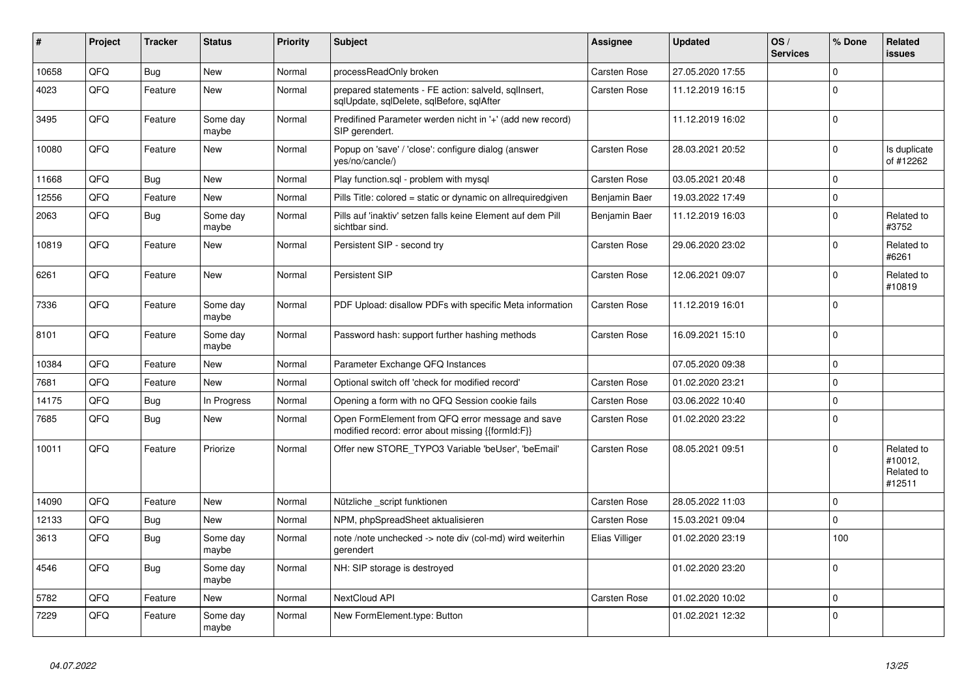| #     | Project | <b>Tracker</b> | <b>Status</b>     | <b>Priority</b> | <b>Subject</b>                                                                                        | <b>Assignee</b>     | Updated          | OS/<br><b>Services</b> | % Done       | Related<br>issues                             |
|-------|---------|----------------|-------------------|-----------------|-------------------------------------------------------------------------------------------------------|---------------------|------------------|------------------------|--------------|-----------------------------------------------|
| 10658 | QFQ     | <b>Bug</b>     | <b>New</b>        | Normal          | processReadOnly broken                                                                                | Carsten Rose        | 27.05.2020 17:55 |                        | $\Omega$     |                                               |
| 4023  | QFQ     | Feature        | <b>New</b>        | Normal          | prepared statements - FE action: salveld, sgllnsert,<br>sglUpdate, sglDelete, sglBefore, sglAfter     | Carsten Rose        | 11.12.2019 16:15 |                        | $\Omega$     |                                               |
| 3495  | QFQ     | Feature        | Some day<br>maybe | Normal          | Predifined Parameter werden nicht in '+' (add new record)<br>SIP gerendert.                           |                     | 11.12.2019 16:02 |                        | $\Omega$     |                                               |
| 10080 | QFQ     | Feature        | <b>New</b>        | Normal          | Popup on 'save' / 'close': configure dialog (answer<br>yes/no/cancle/)                                | Carsten Rose        | 28.03.2021 20:52 |                        | $\Omega$     | Is duplicate<br>of #12262                     |
| 11668 | QFQ     | Bug            | <b>New</b>        | Normal          | Play function.sgl - problem with mysgl                                                                | Carsten Rose        | 03.05.2021 20:48 |                        | $\Omega$     |                                               |
| 12556 | QFQ     | Feature        | New               | Normal          | Pills Title: colored = static or dynamic on allrequiredgiven                                          | Benjamin Baer       | 19.03.2022 17:49 |                        | $\mathbf 0$  |                                               |
| 2063  | QFQ     | <b>Bug</b>     | Some day<br>maybe | Normal          | Pills auf 'inaktiv' setzen falls keine Element auf dem Pill<br>sichtbar sind.                         | Benjamin Baer       | 11.12.2019 16:03 |                        | $\Omega$     | Related to<br>#3752                           |
| 10819 | QFQ     | Feature        | <b>New</b>        | Normal          | Persistent SIP - second try                                                                           | Carsten Rose        | 29.06.2020 23:02 |                        | $\Omega$     | Related to<br>#6261                           |
| 6261  | QFQ     | Feature        | <b>New</b>        | Normal          | Persistent SIP                                                                                        | Carsten Rose        | 12.06.2021 09:07 |                        | $\Omega$     | Related to<br>#10819                          |
| 7336  | QFQ     | Feature        | Some day<br>maybe | Normal          | PDF Upload: disallow PDFs with specific Meta information                                              | Carsten Rose        | 11.12.2019 16:01 |                        | $\Omega$     |                                               |
| 8101  | QFQ     | Feature        | Some day<br>maybe | Normal          | Password hash: support further hashing methods                                                        | Carsten Rose        | 16.09.2021 15:10 |                        | $\Omega$     |                                               |
| 10384 | QFQ     | Feature        | <b>New</b>        | Normal          | Parameter Exchange QFQ Instances                                                                      |                     | 07.05.2020 09:38 |                        | $\Omega$     |                                               |
| 7681  | QFQ     | Feature        | <b>New</b>        | Normal          | Optional switch off 'check for modified record'                                                       | Carsten Rose        | 01.02.2020 23:21 |                        | $\mathbf 0$  |                                               |
| 14175 | QFQ     | Bug            | In Progress       | Normal          | Opening a form with no QFQ Session cookie fails                                                       | <b>Carsten Rose</b> | 03.06.2022 10:40 |                        | $\mathbf{0}$ |                                               |
| 7685  | QFQ     | <b>Bug</b>     | <b>New</b>        | Normal          | Open FormElement from QFQ error message and save<br>modified record: error about missing {{formId:F}} | <b>Carsten Rose</b> | 01.02.2020 23:22 |                        | $\Omega$     |                                               |
| 10011 | QFQ     | Feature        | Priorize          | Normal          | Offer new STORE TYPO3 Variable 'beUser', 'beEmail'                                                    | <b>Carsten Rose</b> | 08.05.2021 09:51 |                        | $\Omega$     | Related to<br>#10012,<br>Related to<br>#12511 |
| 14090 | QFQ     | Feature        | <b>New</b>        | Normal          | Nützliche script funktionen                                                                           | Carsten Rose        | 28.05.2022 11:03 |                        | $\Omega$     |                                               |
| 12133 | QFQ     | <b>Bug</b>     | <b>New</b>        | Normal          | NPM, phpSpreadSheet aktualisieren                                                                     | Carsten Rose        | 15.03.2021 09:04 |                        | $\mathbf 0$  |                                               |
| 3613  | QFQ     | <b>Bug</b>     | Some day<br>maybe | Normal          | note /note unchecked -> note div (col-md) wird weiterhin<br>gerendert                                 | Elias Villiger      | 01.02.2020 23:19 |                        | 100          |                                               |
| 4546  | QFQ     | Bug            | Some day<br>maybe | Normal          | NH: SIP storage is destroyed                                                                          |                     | 01.02.2020 23:20 |                        | $\Omega$     |                                               |
| 5782  | QFQ     | Feature        | <b>New</b>        | Normal          | NextCloud API                                                                                         | <b>Carsten Rose</b> | 01.02.2020 10:02 |                        | $\mathbf 0$  |                                               |
| 7229  | QFQ     | Feature        | Some day<br>maybe | Normal          | New FormElement.type: Button                                                                          |                     | 01.02.2021 12:32 |                        | $\Omega$     |                                               |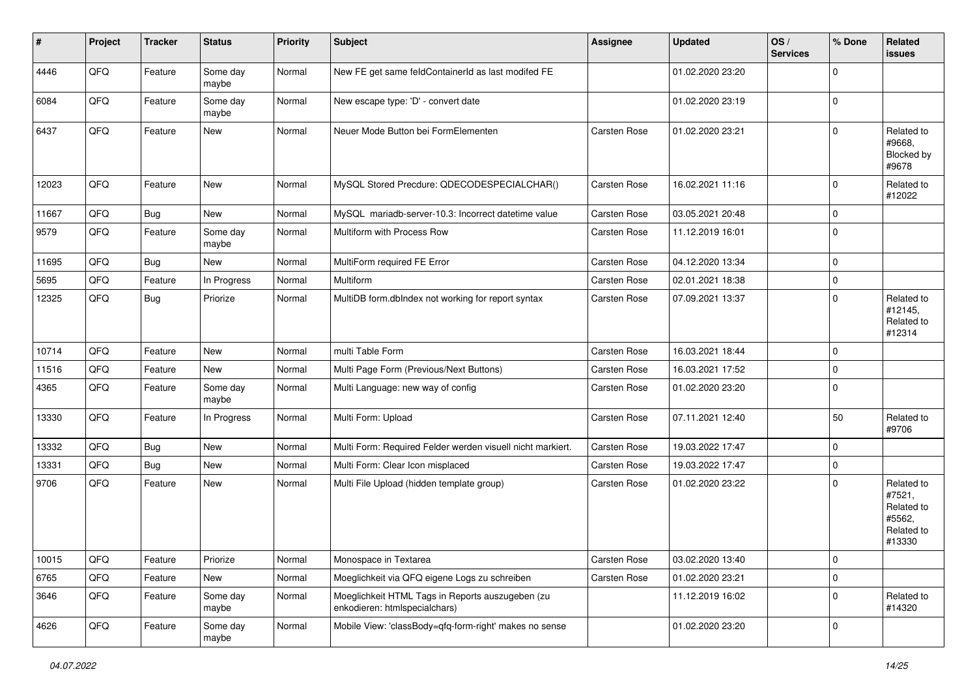| $\vert$ # | Project | <b>Tracker</b> | <b>Status</b>     | <b>Priority</b> | <b>Subject</b>                                                                    | <b>Assignee</b>     | <b>Updated</b>   | OS/<br><b>Services</b> | % Done         | Related<br><b>issues</b>                                             |
|-----------|---------|----------------|-------------------|-----------------|-----------------------------------------------------------------------------------|---------------------|------------------|------------------------|----------------|----------------------------------------------------------------------|
| 4446      | QFQ     | Feature        | Some day<br>maybe | Normal          | New FE get same feldContainerId as last modifed FE                                |                     | 01.02.2020 23:20 |                        | $\Omega$       |                                                                      |
| 6084      | QFQ     | Feature        | Some day<br>maybe | Normal          | New escape type: 'D' - convert date                                               |                     | 01.02.2020 23:19 |                        | $\overline{0}$ |                                                                      |
| 6437      | QFQ     | Feature        | New               | Normal          | Neuer Mode Button bei FormElementen                                               | Carsten Rose        | 01.02.2020 23:21 |                        | $\Omega$       | Related to<br>#9668,<br>Blocked by<br>#9678                          |
| 12023     | QFQ     | Feature        | <b>New</b>        | Normal          | MySQL Stored Precdure: QDECODESPECIALCHAR()                                       | <b>Carsten Rose</b> | 16.02.2021 11:16 |                        | $\mathbf 0$    | Related to<br>#12022                                                 |
| 11667     | QFQ     | <b>Bug</b>     | New               | Normal          | MySQL mariadb-server-10.3: Incorrect datetime value                               | Carsten Rose        | 03.05.2021 20:48 |                        | $\mathbf 0$    |                                                                      |
| 9579      | QFQ     | Feature        | Some day<br>maybe | Normal          | Multiform with Process Row                                                        | Carsten Rose        | 11.12.2019 16:01 |                        | $\Omega$       |                                                                      |
| 11695     | QFQ     | <b>Bug</b>     | <b>New</b>        | Normal          | MultiForm required FE Error                                                       | Carsten Rose        | 04.12.2020 13:34 |                        | $\mathbf 0$    |                                                                      |
| 5695      | QFQ     | Feature        | In Progress       | Normal          | Multiform                                                                         | Carsten Rose        | 02.01.2021 18:38 |                        | $\mathbf 0$    |                                                                      |
| 12325     | QFQ     | <b>Bug</b>     | Priorize          | Normal          | MultiDB form.dblndex not working for report syntax                                | Carsten Rose        | 07.09.2021 13:37 |                        | $\Omega$       | Related to<br>#12145,<br>Related to<br>#12314                        |
| 10714     | QFQ     | Feature        | <b>New</b>        | Normal          | multi Table Form                                                                  | <b>Carsten Rose</b> | 16.03.2021 18:44 |                        | $\mathbf 0$    |                                                                      |
| 11516     | QFQ     | Feature        | New               | Normal          | Multi Page Form (Previous/Next Buttons)                                           | Carsten Rose        | 16.03.2021 17:52 |                        | $\mathbf 0$    |                                                                      |
| 4365      | QFQ     | Feature        | Some day<br>maybe | Normal          | Multi Language: new way of config                                                 | Carsten Rose        | 01.02.2020 23:20 |                        | $\Omega$       |                                                                      |
| 13330     | QFQ     | Feature        | In Progress       | Normal          | Multi Form: Upload                                                                | Carsten Rose        | 07.11.2021 12:40 |                        | 50             | Related to<br>#9706                                                  |
| 13332     | QFQ     | <b>Bug</b>     | New               | Normal          | Multi Form: Required Felder werden visuell nicht markiert.                        | Carsten Rose        | 19.03.2022 17:47 |                        | $\Omega$       |                                                                      |
| 13331     | QFQ     | Bug            | New               | Normal          | Multi Form: Clear Icon misplaced                                                  | Carsten Rose        | 19.03.2022 17:47 |                        | $\mathbf 0$    |                                                                      |
| 9706      | QFQ     | Feature        | New               | Normal          | Multi File Upload (hidden template group)                                         | Carsten Rose        | 01.02.2020 23:22 |                        | $\Omega$       | Related to<br>#7521,<br>Related to<br>#5562,<br>Related to<br>#13330 |
| 10015     | QFQ     | Feature        | Priorize          | Normal          | Monospace in Textarea                                                             | Carsten Rose        | 03.02.2020 13:40 |                        | $\overline{0}$ |                                                                      |
| 6765      | QFQ     | Feature        | New               | Normal          | Moeglichkeit via QFQ eigene Logs zu schreiben                                     | Carsten Rose        | 01.02.2020 23:21 |                        | $\mathbf 0$    |                                                                      |
| 3646      | QFQ     | Feature        | Some day<br>maybe | Normal          | Moeglichkeit HTML Tags in Reports auszugeben (zu<br>enkodieren: htmlspecialchars) |                     | 11.12.2019 16:02 |                        | $\mathbf 0$    | Related to<br>#14320                                                 |
| 4626      | QFQ     | Feature        | Some day<br>maybe | Normal          | Mobile View: 'classBody=qfq-form-right' makes no sense                            |                     | 01.02.2020 23:20 |                        | $\mathbf 0$    |                                                                      |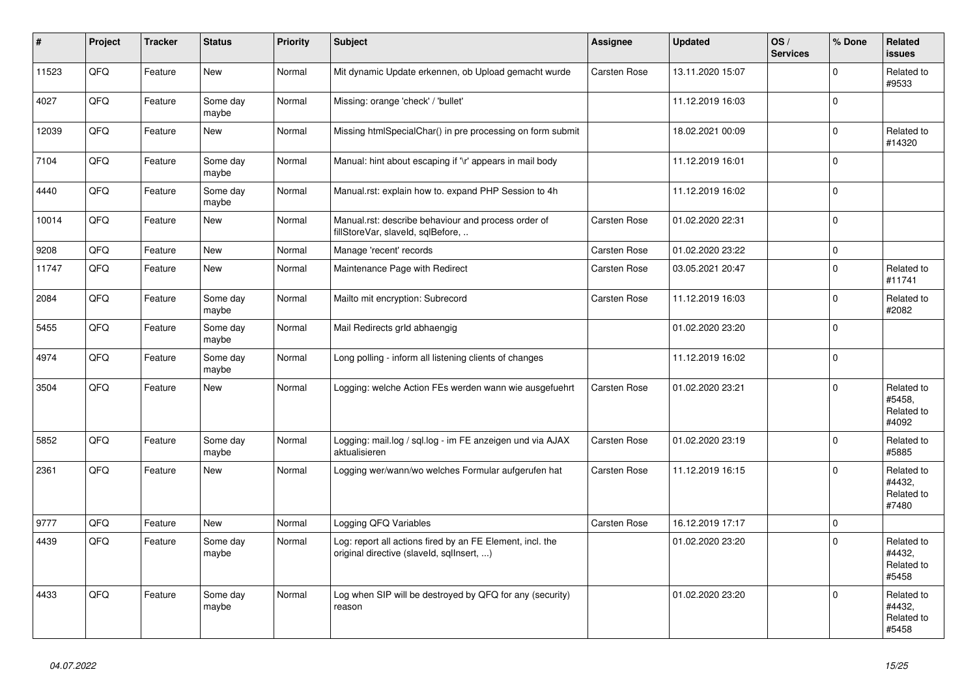| $\vert$ # | Project    | <b>Tracker</b> | <b>Status</b>     | <b>Priority</b> | <b>Subject</b>                                                                                         | Assignee            | <b>Updated</b>   | OS/<br><b>Services</b> | % Done       | Related<br><b>issues</b>                    |
|-----------|------------|----------------|-------------------|-----------------|--------------------------------------------------------------------------------------------------------|---------------------|------------------|------------------------|--------------|---------------------------------------------|
| 11523     | QFQ        | Feature        | <b>New</b>        | Normal          | Mit dynamic Update erkennen, ob Upload gemacht wurde                                                   | <b>Carsten Rose</b> | 13.11.2020 15:07 |                        | $\Omega$     | Related to<br>#9533                         |
| 4027      | QFQ        | Feature        | Some day<br>maybe | Normal          | Missing: orange 'check' / 'bullet'                                                                     |                     | 11.12.2019 16:03 |                        | $\mathbf{0}$ |                                             |
| 12039     | QFQ        | Feature        | <b>New</b>        | Normal          | Missing htmlSpecialChar() in pre processing on form submit                                             |                     | 18.02.2021 00:09 |                        | $\Omega$     | Related to<br>#14320                        |
| 7104      | QFQ        | Feature        | Some day<br>maybe | Normal          | Manual: hint about escaping if '\r' appears in mail body                                               |                     | 11.12.2019 16:01 |                        | $\Omega$     |                                             |
| 4440      | QFQ        | Feature        | Some day<br>maybe | Normal          | Manual.rst: explain how to. expand PHP Session to 4h                                                   |                     | 11.12.2019 16:02 |                        | $\Omega$     |                                             |
| 10014     | QFQ        | Feature        | New               | Normal          | Manual.rst: describe behaviour and process order of<br>fillStoreVar, slaveId, sqlBefore,               | Carsten Rose        | 01.02.2020 22:31 |                        | $\mathbf{0}$ |                                             |
| 9208      | QFQ        | Feature        | New               | Normal          | Manage 'recent' records                                                                                | <b>Carsten Rose</b> | 01.02.2020 23:22 |                        | $\Omega$     |                                             |
| 11747     | QFQ        | Feature        | New               | Normal          | Maintenance Page with Redirect                                                                         | Carsten Rose        | 03.05.2021 20:47 |                        | $\Omega$     | Related to<br>#11741                        |
| 2084      | QFQ        | Feature        | Some day<br>maybe | Normal          | Mailto mit encryption: Subrecord                                                                       | Carsten Rose        | 11.12.2019 16:03 |                        | $\Omega$     | Related to<br>#2082                         |
| 5455      | QFQ        | Feature        | Some day<br>maybe | Normal          | Mail Redirects grld abhaengig                                                                          |                     | 01.02.2020 23:20 |                        | $\Omega$     |                                             |
| 4974      | QFQ        | Feature        | Some day<br>maybe | Normal          | Long polling - inform all listening clients of changes                                                 |                     | 11.12.2019 16:02 |                        | $\mathbf{0}$ |                                             |
| 3504      | <b>OFO</b> | Feature        | New               | Normal          | Logging: welche Action FEs werden wann wie ausgefuehrt                                                 | Carsten Rose        | 01.02.2020 23:21 |                        | $\Omega$     | Related to<br>#5458.<br>Related to<br>#4092 |
| 5852      | QFQ        | Feature        | Some day<br>maybe | Normal          | Logging: mail.log / sql.log - im FE anzeigen und via AJAX<br>aktualisieren                             | Carsten Rose        | 01.02.2020 23:19 |                        | $\Omega$     | Related to<br>#5885                         |
| 2361      | QFQ        | Feature        | <b>New</b>        | Normal          | Logging wer/wann/wo welches Formular aufgerufen hat                                                    | Carsten Rose        | 11.12.2019 16:15 |                        | $\Omega$     | Related to<br>#4432,<br>Related to<br>#7480 |
| 9777      | QFQ        | Feature        | <b>New</b>        | Normal          | Logging QFQ Variables                                                                                  | <b>Carsten Rose</b> | 16.12.2019 17:17 |                        | $\mathbf{0}$ |                                             |
| 4439      | QFQ        | Feature        | Some day<br>maybe | Normal          | Log: report all actions fired by an FE Element, incl. the<br>original directive (slaveld, sqlInsert, ) |                     | 01.02.2020 23:20 |                        | $\Omega$     | Related to<br>#4432,<br>Related to<br>#5458 |
| 4433      | QFQ        | Feature        | Some day<br>maybe | Normal          | Log when SIP will be destroyed by QFQ for any (security)<br>reason                                     |                     | 01.02.2020 23:20 |                        | $\Omega$     | Related to<br>#4432,<br>Related to<br>#5458 |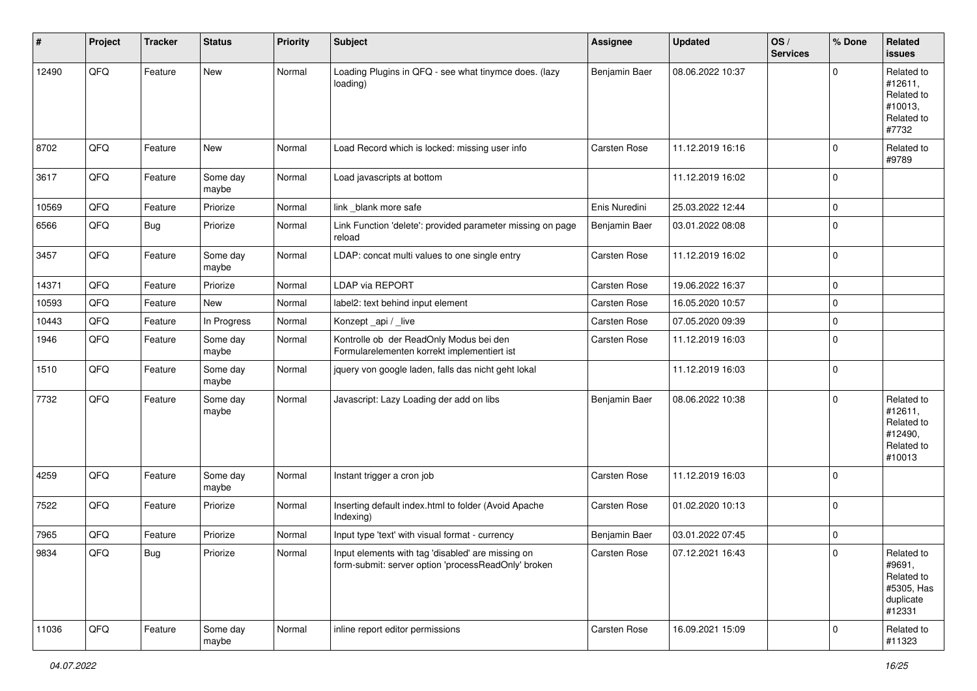| #     | Project | <b>Tracker</b> | <b>Status</b>     | <b>Priority</b> | <b>Subject</b>                                                                                           | <b>Assignee</b>     | <b>Updated</b>   | OS/<br><b>Services</b> | % Done         | Related<br>issues                                                       |
|-------|---------|----------------|-------------------|-----------------|----------------------------------------------------------------------------------------------------------|---------------------|------------------|------------------------|----------------|-------------------------------------------------------------------------|
| 12490 | QFQ     | Feature        | <b>New</b>        | Normal          | Loading Plugins in QFQ - see what tinymce does. (lazy<br>loading)                                        | Benjamin Baer       | 08.06.2022 10:37 |                        | $\Omega$       | Related to<br>#12611,<br>Related to<br>#10013,<br>Related to<br>#7732   |
| 8702  | QFQ     | Feature        | <b>New</b>        | Normal          | Load Record which is locked: missing user info                                                           | Carsten Rose        | 11.12.2019 16:16 |                        | $\mathbf 0$    | Related to<br>#9789                                                     |
| 3617  | QFQ     | Feature        | Some day<br>maybe | Normal          | Load javascripts at bottom                                                                               |                     | 11.12.2019 16:02 |                        | $\mathbf 0$    |                                                                         |
| 10569 | QFQ     | Feature        | Priorize          | Normal          | link blank more safe                                                                                     | Enis Nuredini       | 25.03.2022 12:44 |                        | $\Omega$       |                                                                         |
| 6566  | QFQ     | Bug            | Priorize          | Normal          | Link Function 'delete': provided parameter missing on page<br>reload                                     | Benjamin Baer       | 03.01.2022 08:08 |                        | $\mathbf 0$    |                                                                         |
| 3457  | QFQ     | Feature        | Some day<br>maybe | Normal          | LDAP: concat multi values to one single entry                                                            | Carsten Rose        | 11.12.2019 16:02 |                        | $\Omega$       |                                                                         |
| 14371 | QFQ     | Feature        | Priorize          | Normal          | LDAP via REPORT                                                                                          | Carsten Rose        | 19.06.2022 16:37 |                        | $\mathbf 0$    |                                                                         |
| 10593 | QFQ     | Feature        | New               | Normal          | label2: text behind input element                                                                        | Carsten Rose        | 16.05.2020 10:57 |                        | $\Omega$       |                                                                         |
| 10443 | QFQ     | Feature        | In Progress       | Normal          | Konzept_api / _live                                                                                      | Carsten Rose        | 07.05.2020 09:39 |                        | $\Omega$       |                                                                         |
| 1946  | QFQ     | Feature        | Some day<br>maybe | Normal          | Kontrolle ob der ReadOnly Modus bei den<br>Formularelementen korrekt implementiert ist                   | Carsten Rose        | 11.12.2019 16:03 |                        | $\Omega$       |                                                                         |
| 1510  | QFQ     | Feature        | Some day<br>maybe | Normal          | jquery von google laden, falls das nicht geht lokal                                                      |                     | 11.12.2019 16:03 |                        | $\mathbf 0$    |                                                                         |
| 7732  | QFQ     | Feature        | Some day<br>maybe | Normal          | Javascript: Lazy Loading der add on libs                                                                 | Benjamin Baer       | 08.06.2022 10:38 |                        | $\Omega$       | Related to<br>#12611,<br>Related to<br>#12490,<br>Related to<br>#10013  |
| 4259  | QFQ     | Feature        | Some day<br>maybe | Normal          | Instant trigger a cron job                                                                               | Carsten Rose        | 11.12.2019 16:03 |                        | $\mathbf 0$    |                                                                         |
| 7522  | QFQ     | Feature        | Priorize          | Normal          | Inserting default index.html to folder (Avoid Apache<br>Indexing)                                        | Carsten Rose        | 01.02.2020 10:13 |                        | $\mathbf 0$    |                                                                         |
| 7965  | QFQ     | Feature        | Priorize          | Normal          | Input type 'text' with visual format - currency                                                          | Benjamin Baer       | 03.01.2022 07:45 |                        | $\mathbf 0$    |                                                                         |
| 9834  | QFO     | <b>Bug</b>     | Priorize          | Normal          | Input elements with tag 'disabled' are missing on<br>form-submit: server option 'processReadOnly' broken | <b>Carsten Rose</b> | 07.12.2021 16:43 |                        |                | Related to<br>#9691,<br>Related to<br>#5305, Has<br>duplicate<br>#12331 |
| 11036 | QFQ     | Feature        | Some day<br>maybe | Normal          | inline report editor permissions                                                                         | Carsten Rose        | 16.09.2021 15:09 |                        | $\overline{0}$ | Related to<br>#11323                                                    |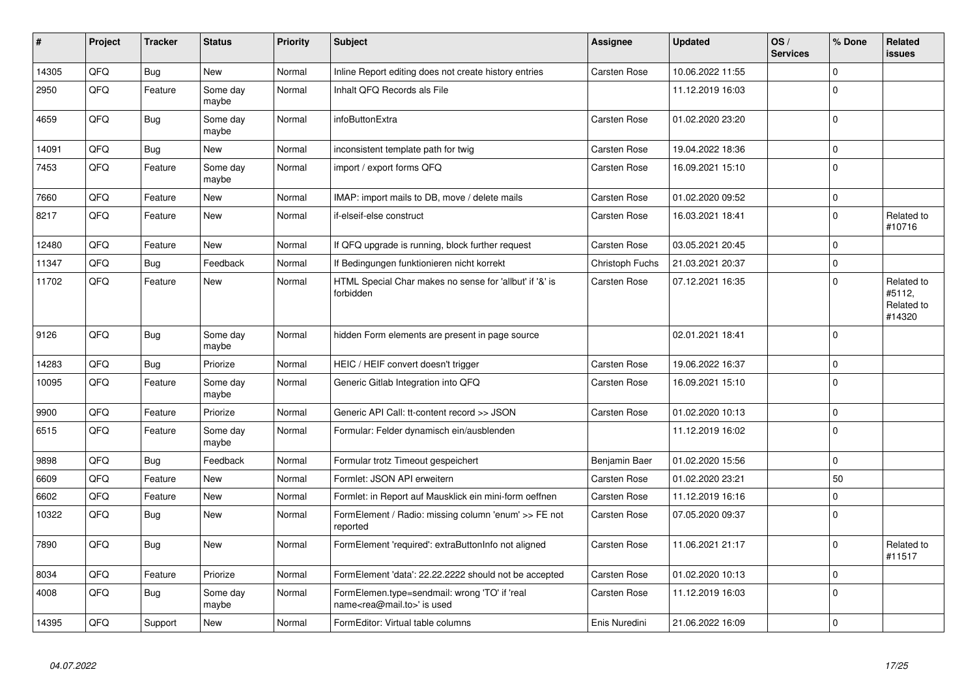| #     | Project | <b>Tracker</b> | <b>Status</b>     | <b>Priority</b> | <b>Subject</b>                                                                             | Assignee            | <b>Updated</b>   | OS/<br><b>Services</b> | % Done      | Related<br><b>issues</b>                     |
|-------|---------|----------------|-------------------|-----------------|--------------------------------------------------------------------------------------------|---------------------|------------------|------------------------|-------------|----------------------------------------------|
| 14305 | QFQ     | <b>Bug</b>     | <b>New</b>        | Normal          | Inline Report editing does not create history entries                                      | Carsten Rose        | 10.06.2022 11:55 |                        | $\Omega$    |                                              |
| 2950  | QFQ     | Feature        | Some day<br>maybe | Normal          | Inhalt QFQ Records als File                                                                |                     | 11.12.2019 16:03 |                        | $\Omega$    |                                              |
| 4659  | QFQ     | Bug            | Some day<br>maybe | Normal          | infoButtonExtra                                                                            | <b>Carsten Rose</b> | 01.02.2020 23:20 |                        | $\Omega$    |                                              |
| 14091 | QFQ     | Bug            | <b>New</b>        | Normal          | inconsistent template path for twig                                                        | <b>Carsten Rose</b> | 19.04.2022 18:36 |                        | $\mathbf 0$ |                                              |
| 7453  | QFQ     | Feature        | Some day<br>maybe | Normal          | import / export forms QFQ                                                                  | <b>Carsten Rose</b> | 16.09.2021 15:10 |                        | $\Omega$    |                                              |
| 7660  | QFQ     | Feature        | <b>New</b>        | Normal          | IMAP: import mails to DB, move / delete mails                                              | Carsten Rose        | 01.02.2020 09:52 |                        | $\Omega$    |                                              |
| 8217  | QFQ     | Feature        | <b>New</b>        | Normal          | if-elseif-else construct                                                                   | Carsten Rose        | 16.03.2021 18:41 |                        | $\Omega$    | Related to<br>#10716                         |
| 12480 | QFQ     | Feature        | <b>New</b>        | Normal          | If QFQ upgrade is running, block further request                                           | Carsten Rose        | 03.05.2021 20:45 |                        | $\mathbf 0$ |                                              |
| 11347 | QFQ     | Bug            | Feedback          | Normal          | If Bedingungen funktionieren nicht korrekt                                                 | Christoph Fuchs     | 21.03.2021 20:37 |                        | $\Omega$    |                                              |
| 11702 | QFQ     | Feature        | New               | Normal          | HTML Special Char makes no sense for 'allbut' if '&' is<br>forbidden                       | Carsten Rose        | 07.12.2021 16:35 |                        | $\Omega$    | Related to<br>#5112,<br>Related to<br>#14320 |
| 9126  | QFQ     | Bug            | Some day<br>maybe | Normal          | hidden Form elements are present in page source                                            |                     | 02.01.2021 18:41 |                        | $\Omega$    |                                              |
| 14283 | QFQ     | Bug            | Priorize          | Normal          | HEIC / HEIF convert doesn't trigger                                                        | Carsten Rose        | 19.06.2022 16:37 |                        | $\Omega$    |                                              |
| 10095 | QFQ     | Feature        | Some day<br>maybe | Normal          | Generic Gitlab Integration into QFQ                                                        | Carsten Rose        | 16.09.2021 15:10 |                        | $\mathbf 0$ |                                              |
| 9900  | QFQ     | Feature        | Priorize          | Normal          | Generic API Call: tt-content record >> JSON                                                | Carsten Rose        | 01.02.2020 10:13 |                        | $\mathbf 0$ |                                              |
| 6515  | QFQ     | Feature        | Some dav<br>maybe | Normal          | Formular: Felder dynamisch ein/ausblenden                                                  |                     | 11.12.2019 16:02 |                        | $\Omega$    |                                              |
| 9898  | QFQ     | Bug            | Feedback          | Normal          | Formular trotz Timeout gespeichert                                                         | Benjamin Baer       | 01.02.2020 15:56 |                        | $\Omega$    |                                              |
| 6609  | QFQ     | Feature        | New               | Normal          | Formlet: JSON API erweitern                                                                | Carsten Rose        | 01.02.2020 23:21 |                        | 50          |                                              |
| 6602  | QFQ     | Feature        | New               | Normal          | Formlet: in Report auf Mausklick ein mini-form oeffnen                                     | Carsten Rose        | 11.12.2019 16:16 |                        | $\Omega$    |                                              |
| 10322 | QFQ     | <b>Bug</b>     | New               | Normal          | FormElement / Radio: missing column 'enum' >> FE not<br>reported                           | Carsten Rose        | 07.05.2020 09:37 |                        | $\Omega$    |                                              |
| 7890  | QFQ     | <b>Bug</b>     | New               | Normal          | FormElement 'required': extraButtonInfo not aligned                                        | Carsten Rose        | 11.06.2021 21:17 |                        | $\Omega$    | Related to<br>#11517                         |
| 8034  | QFQ     | Feature        | Priorize          | Normal          | FormElement 'data': 22.22.2222 should not be accepted                                      | Carsten Rose        | 01.02.2020 10:13 |                        | $\Omega$    |                                              |
| 4008  | QFQ     | Bug            | Some day<br>maybe | Normal          | FormElemen.type=sendmail: wrong 'TO' if 'real<br>name <rea@mail.to>' is used</rea@mail.to> | Carsten Rose        | 11.12.2019 16:03 |                        | $\Omega$    |                                              |
| 14395 | QFQ     | Support        | New               | Normal          | FormEditor: Virtual table columns                                                          | Enis Nuredini       | 21.06.2022 16:09 |                        | $\Omega$    |                                              |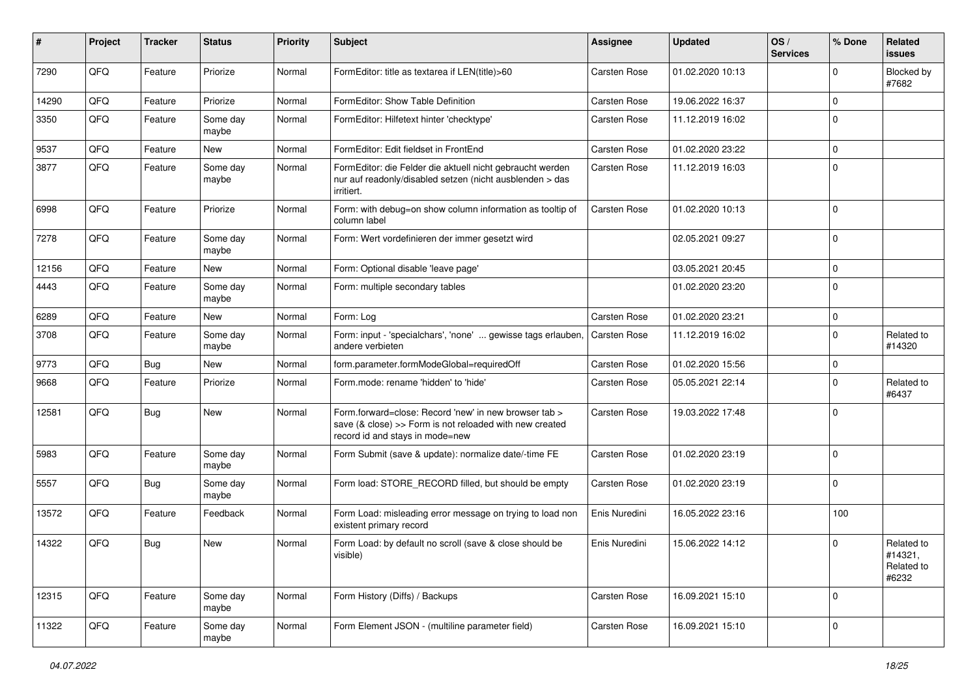| ∦     | Project | <b>Tracker</b> | <b>Status</b>     | <b>Priority</b> | Subject                                                                                                                                             | <b>Assignee</b> | <b>Updated</b>   | OS/<br><b>Services</b> | % Done       | Related<br><b>issues</b>                     |
|-------|---------|----------------|-------------------|-----------------|-----------------------------------------------------------------------------------------------------------------------------------------------------|-----------------|------------------|------------------------|--------------|----------------------------------------------|
| 7290  | QFQ     | Feature        | Priorize          | Normal          | FormEditor: title as textarea if LEN(title)>60                                                                                                      | Carsten Rose    | 01.02.2020 10:13 |                        | <sup>0</sup> | Blocked by<br>#7682                          |
| 14290 | QFQ     | Feature        | Priorize          | Normal          | FormEditor: Show Table Definition                                                                                                                   | Carsten Rose    | 19.06.2022 16:37 |                        | 0            |                                              |
| 3350  | QFQ     | Feature        | Some day<br>maybe | Normal          | FormEditor: Hilfetext hinter 'checktype'                                                                                                            | Carsten Rose    | 11.12.2019 16:02 |                        | $\Omega$     |                                              |
| 9537  | QFQ     | Feature        | <b>New</b>        | Normal          | FormEditor: Edit fieldset in FrontEnd                                                                                                               | Carsten Rose    | 01.02.2020 23:22 |                        | $\Omega$     |                                              |
| 3877  | QFQ     | Feature        | Some day<br>maybe | Normal          | FormEditor: die Felder die aktuell nicht gebraucht werden<br>nur auf readonly/disabled setzen (nicht ausblenden > das<br>irritiert.                 | Carsten Rose    | 11.12.2019 16:03 |                        | $\mathbf{0}$ |                                              |
| 6998  | QFQ     | Feature        | Priorize          | Normal          | Form: with debug=on show column information as tooltip of<br>column label                                                                           | Carsten Rose    | 01.02.2020 10:13 |                        | $\Omega$     |                                              |
| 7278  | QFQ     | Feature        | Some day<br>maybe | Normal          | Form: Wert vordefinieren der immer gesetzt wird                                                                                                     |                 | 02.05.2021 09:27 |                        | 0            |                                              |
| 12156 | QFQ     | Feature        | New               | Normal          | Form: Optional disable 'leave page'                                                                                                                 |                 | 03.05.2021 20:45 |                        | 0            |                                              |
| 4443  | QFQ     | Feature        | Some day<br>maybe | Normal          | Form: multiple secondary tables                                                                                                                     |                 | 01.02.2020 23:20 |                        | $\Omega$     |                                              |
| 6289  | QFQ     | Feature        | <b>New</b>        | Normal          | Form: Log                                                                                                                                           | Carsten Rose    | 01.02.2020 23:21 |                        | $\Omega$     |                                              |
| 3708  | QFQ     | Feature        | Some day<br>maybe | Normal          | Form: input - 'specialchars', 'none'  gewisse tags erlauben,<br>andere verbieten                                                                    | Carsten Rose    | 11.12.2019 16:02 |                        | $\mathbf{0}$ | Related to<br>#14320                         |
| 9773  | QFQ     | Bug            | <b>New</b>        | Normal          | form.parameter.formModeGlobal=requiredOff                                                                                                           | Carsten Rose    | 01.02.2020 15:56 |                        | 0            |                                              |
| 9668  | QFQ     | Feature        | Priorize          | Normal          | Form.mode: rename 'hidden' to 'hide'                                                                                                                | Carsten Rose    | 05.05.2021 22:14 |                        | 0            | Related to<br>#6437                          |
| 12581 | QFQ     | Bug            | New               | Normal          | Form.forward=close: Record 'new' in new browser tab ><br>save (& close) >> Form is not reloaded with new created<br>record id and stays in mode=new | Carsten Rose    | 19.03.2022 17:48 |                        | 0            |                                              |
| 5983  | QFQ     | Feature        | Some day<br>maybe | Normal          | Form Submit (save & update): normalize date/-time FE                                                                                                | Carsten Rose    | 01.02.2020 23:19 |                        | 0            |                                              |
| 5557  | QFQ     | Bug            | Some day<br>maybe | Normal          | Form load: STORE_RECORD filled, but should be empty                                                                                                 | Carsten Rose    | 01.02.2020 23:19 |                        | $\Omega$     |                                              |
| 13572 | QFQ     | Feature        | Feedback          | Normal          | Form Load: misleading error message on trying to load non<br>existent primary record                                                                | Enis Nuredini   | 16.05.2022 23:16 |                        | 100          |                                              |
| 14322 | QFQ     | Bug            | <b>New</b>        | Normal          | Form Load: by default no scroll (save & close should be<br>visible)                                                                                 | Enis Nuredini   | 15.06.2022 14:12 |                        | 0            | Related to<br>#14321,<br>Related to<br>#6232 |
| 12315 | QFO     | Feature        | Some day<br>maybe | Normal          | Form History (Diffs) / Backups                                                                                                                      | Carsten Rose    | 16.09.2021 15:10 |                        | $\Omega$     |                                              |
| 11322 | QFQ     | Feature        | Some day<br>maybe | Normal          | Form Element JSON - (multiline parameter field)                                                                                                     | Carsten Rose    | 16.09.2021 15:10 |                        | 0            |                                              |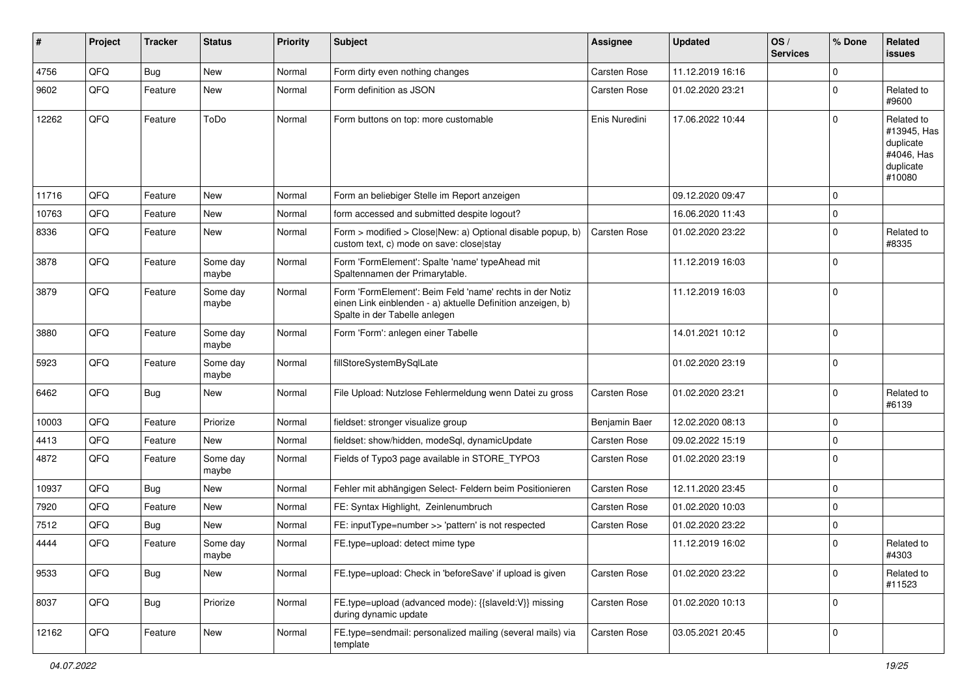| $\vert$ # | Project | <b>Tracker</b> | <b>Status</b>     | <b>Priority</b> | <b>Subject</b>                                                                                                                                           | <b>Assignee</b>     | <b>Updated</b>   | OS/<br><b>Services</b> | % Done      | Related<br>issues                                                           |
|-----------|---------|----------------|-------------------|-----------------|----------------------------------------------------------------------------------------------------------------------------------------------------------|---------------------|------------------|------------------------|-------------|-----------------------------------------------------------------------------|
| 4756      | QFQ     | Bug            | <b>New</b>        | Normal          | Form dirty even nothing changes                                                                                                                          | <b>Carsten Rose</b> | 11.12.2019 16:16 |                        | $\Omega$    |                                                                             |
| 9602      | QFQ     | Feature        | <b>New</b>        | Normal          | Form definition as JSON                                                                                                                                  | Carsten Rose        | 01.02.2020 23:21 |                        | $\Omega$    | Related to<br>#9600                                                         |
| 12262     | QFQ     | Feature        | ToDo              | Normal          | Form buttons on top: more customable                                                                                                                     | Enis Nuredini       | 17.06.2022 10:44 |                        | $\Omega$    | Related to<br>#13945, Has<br>duplicate<br>#4046, Has<br>duplicate<br>#10080 |
| 11716     | QFQ     | Feature        | <b>New</b>        | Normal          | Form an beliebiger Stelle im Report anzeigen                                                                                                             |                     | 09.12.2020 09:47 |                        | $\Omega$    |                                                                             |
| 10763     | QFQ     | Feature        | <b>New</b>        | Normal          | form accessed and submitted despite logout?                                                                                                              |                     | 16.06.2020 11:43 |                        | $\Omega$    |                                                                             |
| 8336      | QFQ     | Feature        | <b>New</b>        | Normal          | Form > modified > Close New: a) Optional disable popup, b)<br>custom text, c) mode on save: close stay                                                   | Carsten Rose        | 01.02.2020 23:22 |                        | 0           | Related to<br>#8335                                                         |
| 3878      | QFQ     | Feature        | Some day<br>maybe | Normal          | Form 'FormElement': Spalte 'name' typeAhead mit<br>Spaltennamen der Primarytable.                                                                        |                     | 11.12.2019 16:03 |                        | $\Omega$    |                                                                             |
| 3879      | QFQ     | Feature        | Some day<br>maybe | Normal          | Form 'FormElement': Beim Feld 'name' rechts in der Notiz<br>einen Link einblenden - a) aktuelle Definition anzeigen, b)<br>Spalte in der Tabelle anlegen |                     | 11.12.2019 16:03 |                        | $\Omega$    |                                                                             |
| 3880      | QFQ     | Feature        | Some day<br>maybe | Normal          | Form 'Form': anlegen einer Tabelle                                                                                                                       |                     | 14.01.2021 10:12 |                        | $\Omega$    |                                                                             |
| 5923      | QFQ     | Feature        | Some day<br>maybe | Normal          | fillStoreSystemBySqlLate                                                                                                                                 |                     | 01.02.2020 23:19 |                        | $\mathbf 0$ |                                                                             |
| 6462      | QFQ     | Bug            | <b>New</b>        | Normal          | File Upload: Nutzlose Fehlermeldung wenn Datei zu gross                                                                                                  | Carsten Rose        | 01.02.2020 23:21 |                        | $\mathbf 0$ | Related to<br>#6139                                                         |
| 10003     | QFQ     | Feature        | Priorize          | Normal          | fieldset: stronger visualize group                                                                                                                       | Benjamin Baer       | 12.02.2020 08:13 |                        | $\mathbf 0$ |                                                                             |
| 4413      | QFQ     | Feature        | <b>New</b>        | Normal          | fieldset: show/hidden, modeSql, dynamicUpdate                                                                                                            | <b>Carsten Rose</b> | 09.02.2022 15:19 |                        | $\mathbf 0$ |                                                                             |
| 4872      | QFQ     | Feature        | Some day<br>maybe | Normal          | Fields of Typo3 page available in STORE_TYPO3                                                                                                            | Carsten Rose        | 01.02.2020 23:19 |                        | $\Omega$    |                                                                             |
| 10937     | QFQ     | Bug            | <b>New</b>        | Normal          | Fehler mit abhängigen Select- Feldern beim Positionieren                                                                                                 | <b>Carsten Rose</b> | 12.11.2020 23:45 |                        | $\mathbf 0$ |                                                                             |
| 7920      | QFQ     | Feature        | New               | Normal          | FE: Syntax Highlight, Zeinlenumbruch                                                                                                                     | Carsten Rose        | 01.02.2020 10:03 |                        | $\mathbf 0$ |                                                                             |
| 7512      | QFQ     | Bug            | <b>New</b>        | Normal          | FE: inputType=number >> 'pattern' is not respected                                                                                                       | Carsten Rose        | 01.02.2020 23:22 |                        | $\mathbf 0$ |                                                                             |
| 4444      | QFQ     | Feature        | Some day<br>maybe | Normal          | FE.type=upload: detect mime type                                                                                                                         |                     | 11.12.2019 16:02 |                        | $\Omega$    | Related to<br>#4303                                                         |
| 9533      | QFO     | Bug            | New               | Normal          | FE.type=upload: Check in 'beforeSave' if upload is given                                                                                                 | Carsten Rose        | 01.02.2020 23:22 |                        | $\mathbf 0$ | Related to<br>#11523                                                        |
| 8037      | QFQ     | <b>Bug</b>     | Priorize          | Normal          | FE.type=upload (advanced mode): {{slaveld:V}} missing<br>during dynamic update                                                                           | Carsten Rose        | 01.02.2020 10:13 |                        | $\mathbf 0$ |                                                                             |
| 12162     | QFQ     | Feature        | New               | Normal          | FE.type=sendmail: personalized mailing (several mails) via<br>template                                                                                   | Carsten Rose        | 03.05.2021 20:45 |                        | $\mathbf 0$ |                                                                             |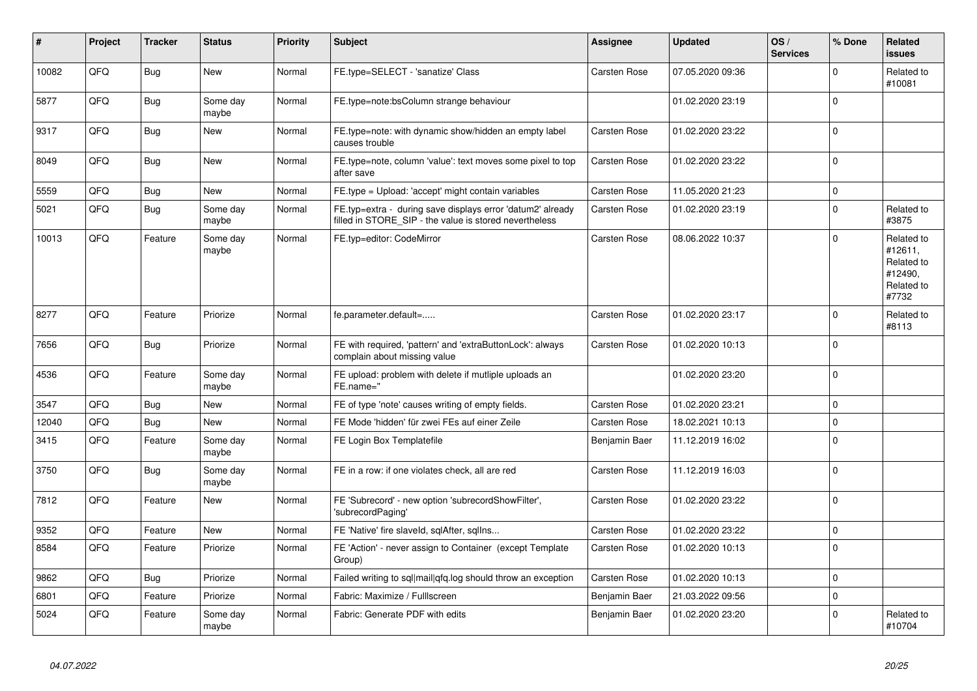| ∦     | Project | <b>Tracker</b> | <b>Status</b>     | <b>Priority</b> | <b>Subject</b>                                                                                                       | <b>Assignee</b>     | <b>Updated</b>   | OS/<br><b>Services</b> | % Done       | Related<br><b>issues</b>                                              |
|-------|---------|----------------|-------------------|-----------------|----------------------------------------------------------------------------------------------------------------------|---------------------|------------------|------------------------|--------------|-----------------------------------------------------------------------|
| 10082 | QFQ     | <b>Bug</b>     | <b>New</b>        | Normal          | FE.type=SELECT - 'sanatize' Class                                                                                    | Carsten Rose        | 07.05.2020 09:36 |                        | $\Omega$     | Related to<br>#10081                                                  |
| 5877  | QFQ     | <b>Bug</b>     | Some day<br>maybe | Normal          | FE.type=note:bsColumn strange behaviour                                                                              |                     | 01.02.2020 23:19 |                        | $\Omega$     |                                                                       |
| 9317  | QFQ     | <b>Bug</b>     | <b>New</b>        | Normal          | FE.type=note: with dynamic show/hidden an empty label<br>causes trouble                                              | Carsten Rose        | 01.02.2020 23:22 |                        | $\Omega$     |                                                                       |
| 8049  | QFQ     | Bug            | <b>New</b>        | Normal          | FE.type=note, column 'value': text moves some pixel to top<br>after save                                             | <b>Carsten Rose</b> | 01.02.2020 23:22 |                        | $\Omega$     |                                                                       |
| 5559  | QFQ     | Bug            | <b>New</b>        | Normal          | FE.type = Upload: 'accept' might contain variables                                                                   | Carsten Rose        | 11.05.2020 21:23 |                        | $\Omega$     |                                                                       |
| 5021  | QFQ     | <b>Bug</b>     | Some day<br>maybe | Normal          | FE.typ=extra - during save displays error 'datum2' already<br>filled in STORE_SIP - the value is stored nevertheless | Carsten Rose        | 01.02.2020 23:19 |                        | $\Omega$     | Related to<br>#3875                                                   |
| 10013 | QFQ     | Feature        | Some day<br>maybe | Normal          | FE.typ=editor: CodeMirror                                                                                            | Carsten Rose        | 08.06.2022 10:37 |                        | $\Omega$     | Related to<br>#12611,<br>Related to<br>#12490,<br>Related to<br>#7732 |
| 8277  | QFQ     | Feature        | Priorize          | Normal          | fe.parameter.default=                                                                                                | Carsten Rose        | 01.02.2020 23:17 |                        | $\Omega$     | Related to<br>#8113                                                   |
| 7656  | QFQ     | Bug            | Priorize          | Normal          | FE with required, 'pattern' and 'extraButtonLock': always<br>complain about missing value                            | Carsten Rose        | 01.02.2020 10:13 |                        | $\Omega$     |                                                                       |
| 4536  | QFQ     | Feature        | Some day<br>maybe | Normal          | FE upload: problem with delete if mutliple uploads an<br>FE.name="                                                   |                     | 01.02.2020 23:20 |                        | $\Omega$     |                                                                       |
| 3547  | QFQ     | <b>Bug</b>     | <b>New</b>        | Normal          | FE of type 'note' causes writing of empty fields.                                                                    | Carsten Rose        | 01.02.2020 23:21 |                        | $\Omega$     |                                                                       |
| 12040 | QFQ     | <b>Bug</b>     | <b>New</b>        | Normal          | FE Mode 'hidden' für zwei FEs auf einer Zeile                                                                        | Carsten Rose        | 18.02.2021 10:13 |                        | $\Omega$     |                                                                       |
| 3415  | QFQ     | Feature        | Some day<br>maybe | Normal          | FE Login Box Templatefile                                                                                            | Benjamin Baer       | 11.12.2019 16:02 |                        | $\Omega$     |                                                                       |
| 3750  | QFQ     | Bug            | Some day<br>maybe | Normal          | FE in a row: if one violates check, all are red                                                                      | Carsten Rose        | 11.12.2019 16:03 |                        | $\Omega$     |                                                                       |
| 7812  | QFQ     | Feature        | <b>New</b>        | Normal          | FE 'Subrecord' - new option 'subrecordShowFilter',<br>'subrecordPaging'                                              | Carsten Rose        | 01.02.2020 23:22 |                        | $\Omega$     |                                                                       |
| 9352  | QFQ     | Feature        | <b>New</b>        | Normal          | FE 'Native' fire slaveld, sqlAfter, sqlIns                                                                           | <b>Carsten Rose</b> | 01.02.2020 23:22 |                        | $\mathbf 0$  |                                                                       |
| 8584  | QFQ     | Feature        | Priorize          | Normal          | FE 'Action' - never assign to Container (except Template<br>Group)                                                   | <b>Carsten Rose</b> | 01.02.2020 10:13 |                        | $\Omega$     |                                                                       |
| 9862  | QFQ     | <b>Bug</b>     | Priorize          | Normal          | Failed writing to sql mail qfq.log should throw an exception                                                         | <b>Carsten Rose</b> | 01.02.2020 10:13 |                        | $\mathbf{0}$ |                                                                       |
| 6801  | QFQ     | Feature        | Priorize          | Normal          | Fabric: Maximize / Fulllscreen                                                                                       | Benjamin Baer       | 21.03.2022 09:56 |                        | $\Omega$     |                                                                       |
| 5024  | QFQ     | Feature        | Some day<br>maybe | Normal          | Fabric: Generate PDF with edits                                                                                      | Benjamin Baer       | 01.02.2020 23:20 |                        | $\Omega$     | Related to<br>#10704                                                  |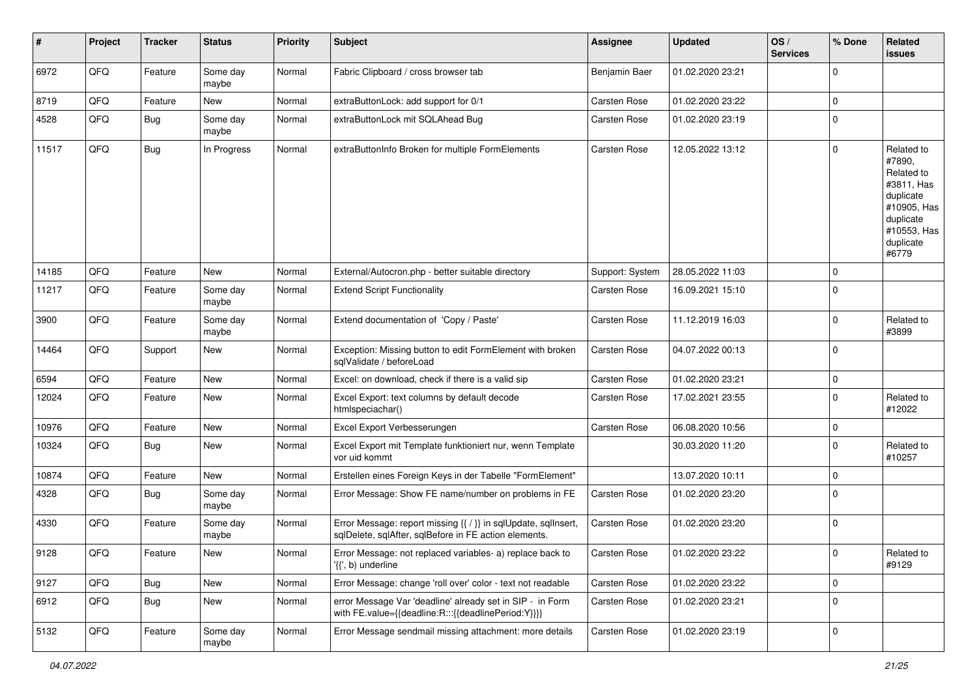| ∦     | Project | <b>Tracker</b> | <b>Status</b>     | <b>Priority</b> | <b>Subject</b>                                                                                                          | <b>Assignee</b>     | <b>Updated</b>   | OS/<br><b>Services</b> | % Done      | Related<br><b>issues</b>                                                                                                       |
|-------|---------|----------------|-------------------|-----------------|-------------------------------------------------------------------------------------------------------------------------|---------------------|------------------|------------------------|-------------|--------------------------------------------------------------------------------------------------------------------------------|
| 6972  | QFQ     | Feature        | Some day<br>maybe | Normal          | Fabric Clipboard / cross browser tab                                                                                    | Benjamin Baer       | 01.02.2020 23:21 |                        | $\Omega$    |                                                                                                                                |
| 8719  | QFQ     | Feature        | New               | Normal          | extraButtonLock: add support for 0/1                                                                                    | <b>Carsten Rose</b> | 01.02.2020 23:22 |                        | $\mathbf 0$ |                                                                                                                                |
| 4528  | QFQ     | <b>Bug</b>     | Some day<br>maybe | Normal          | extraButtonLock mit SQLAhead Bug                                                                                        | Carsten Rose        | 01.02.2020 23:19 |                        | $\mathbf 0$ |                                                                                                                                |
| 11517 | QFQ     | <b>Bug</b>     | In Progress       | Normal          | extraButtonInfo Broken for multiple FormElements                                                                        | Carsten Rose        | 12.05.2022 13:12 |                        | $\mathbf 0$ | Related to<br>#7890,<br>Related to<br>#3811, Has<br>duplicate<br>#10905, Has<br>duplicate<br>#10553, Has<br>duplicate<br>#6779 |
| 14185 | QFQ     | Feature        | New               | Normal          | External/Autocron.php - better suitable directory                                                                       | Support: System     | 28.05.2022 11:03 |                        | $\mathbf 0$ |                                                                                                                                |
| 11217 | QFQ     | Feature        | Some day<br>maybe | Normal          | <b>Extend Script Functionality</b>                                                                                      | Carsten Rose        | 16.09.2021 15:10 |                        | $\mathbf 0$ |                                                                                                                                |
| 3900  | QFQ     | Feature        | Some day<br>maybe | Normal          | Extend documentation of 'Copy / Paste'                                                                                  | Carsten Rose        | 11.12.2019 16:03 |                        | $\mathbf 0$ | Related to<br>#3899                                                                                                            |
| 14464 | QFQ     | Support        | <b>New</b>        | Normal          | Exception: Missing button to edit FormElement with broken<br>salValidate / beforeLoad                                   | Carsten Rose        | 04.07.2022 00:13 |                        | $\mathbf 0$ |                                                                                                                                |
| 6594  | QFQ     | Feature        | <b>New</b>        | Normal          | Excel: on download, check if there is a valid sip                                                                       | <b>Carsten Rose</b> | 01.02.2020 23:21 |                        | $\mathbf 0$ |                                                                                                                                |
| 12024 | QFQ     | Feature        | <b>New</b>        | Normal          | Excel Export: text columns by default decode<br>htmlspeciachar()                                                        | Carsten Rose        | 17.02.2021 23:55 |                        | $\mathbf 0$ | Related to<br>#12022                                                                                                           |
| 10976 | QFQ     | Feature        | <b>New</b>        | Normal          | Excel Export Verbesserungen                                                                                             | <b>Carsten Rose</b> | 06.08.2020 10:56 |                        | $\mathbf 0$ |                                                                                                                                |
| 10324 | QFQ     | Bug            | New               | Normal          | Excel Export mit Template funktioniert nur, wenn Template<br>vor uid kommt                                              |                     | 30.03.2020 11:20 |                        | $\mathbf 0$ | Related to<br>#10257                                                                                                           |
| 10874 | QFQ     | Feature        | <b>New</b>        | Normal          | Erstellen eines Foreign Keys in der Tabelle "FormElement"                                                               |                     | 13.07.2020 10:11 |                        | $\mathbf 0$ |                                                                                                                                |
| 4328  | QFQ     | <b>Bug</b>     | Some day<br>maybe | Normal          | Error Message: Show FE name/number on problems in FE                                                                    | Carsten Rose        | 01.02.2020 23:20 |                        | $\mathbf 0$ |                                                                                                                                |
| 4330  | QFQ     | Feature        | Some day<br>maybe | Normal          | Error Message: report missing {{ / }} in sqlUpdate, sqlInsert,<br>sqlDelete, sqlAfter, sqlBefore in FE action elements. | Carsten Rose        | 01.02.2020 23:20 |                        | $\mathbf 0$ |                                                                                                                                |
| 9128  | QFQ     | Feature        | New               | Normal          | Error Message: not replaced variables- a) replace back to<br>$\langle \{ \}$ , b) underline                             | Carsten Rose        | 01.02.2020 23:22 |                        | $\pmb{0}$   | Related to<br>#9129                                                                                                            |
| 9127  | QFQ     | Bug            | New               | Normal          | Error Message: change 'roll over' color - text not readable                                                             | Carsten Rose        | 01.02.2020 23:22 |                        | $\mathbf 0$ |                                                                                                                                |
| 6912  | QFQ     | <b>Bug</b>     | New               | Normal          | error Message Var 'deadline' already set in SIP - in Form<br>with FE.value={{deadline:R:::{{deadlinePeriod:Y}}}}        | Carsten Rose        | 01.02.2020 23:21 |                        | $\mathbf 0$ |                                                                                                                                |
| 5132  | QFQ     | Feature        | Some day<br>maybe | Normal          | Error Message sendmail missing attachment: more details                                                                 | Carsten Rose        | 01.02.2020 23:19 |                        | $\mathbf 0$ |                                                                                                                                |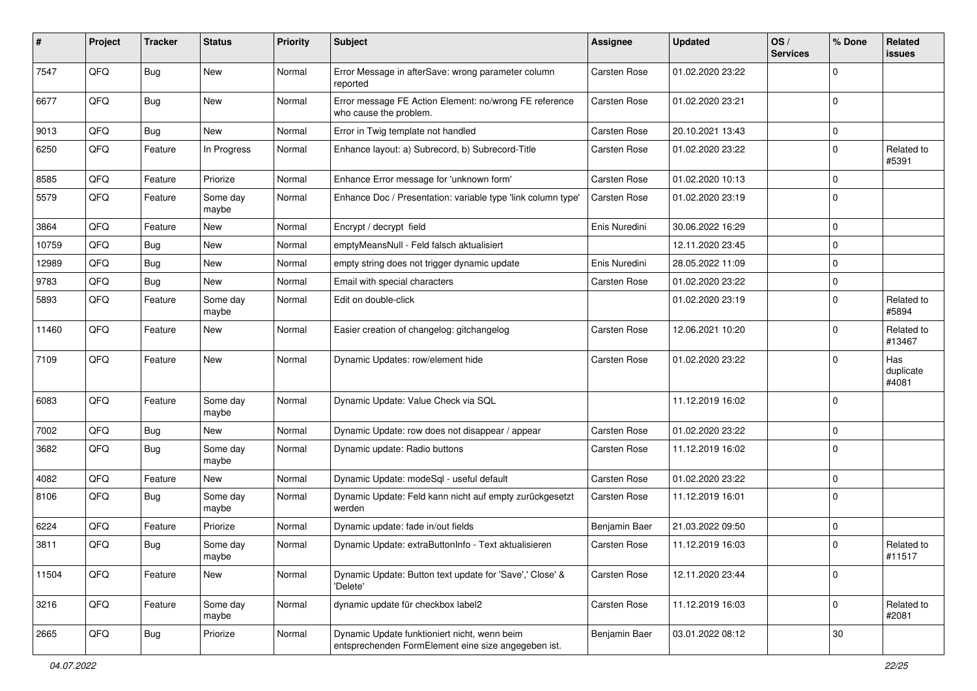| #     | Project | <b>Tracker</b> | <b>Status</b>     | <b>Priority</b> | Subject                                                                                             | <b>Assignee</b>     | <b>Updated</b>   | OS/<br><b>Services</b> | % Done      | Related<br>issues         |
|-------|---------|----------------|-------------------|-----------------|-----------------------------------------------------------------------------------------------------|---------------------|------------------|------------------------|-------------|---------------------------|
| 7547  | QFQ     | Bug            | <b>New</b>        | Normal          | Error Message in afterSave: wrong parameter column<br>reported                                      | <b>Carsten Rose</b> | 01.02.2020 23:22 |                        | $\Omega$    |                           |
| 6677  | QFQ     | Bug            | New               | Normal          | Error message FE Action Element: no/wrong FE reference<br>who cause the problem.                    | <b>Carsten Rose</b> | 01.02.2020 23:21 |                        | $\mathbf 0$ |                           |
| 9013  | QFQ     | Bug            | <b>New</b>        | Normal          | Error in Twig template not handled                                                                  | Carsten Rose        | 20.10.2021 13:43 |                        | 0           |                           |
| 6250  | QFQ     | Feature        | In Progress       | Normal          | Enhance layout: a) Subrecord, b) Subrecord-Title                                                    | Carsten Rose        | 01.02.2020 23:22 |                        | $\Omega$    | Related to<br>#5391       |
| 8585  | QFQ     | Feature        | Priorize          | Normal          | Enhance Error message for 'unknown form'                                                            | Carsten Rose        | 01.02.2020 10:13 |                        | 0           |                           |
| 5579  | QFQ     | Feature        | Some day<br>maybe | Normal          | Enhance Doc / Presentation: variable type 'link column type'                                        | Carsten Rose        | 01.02.2020 23:19 |                        | $\mathbf 0$ |                           |
| 3864  | QFQ     | Feature        | New               | Normal          | Encrypt / decrypt field                                                                             | Enis Nuredini       | 30.06.2022 16:29 |                        | 0           |                           |
| 10759 | QFQ     | Bug            | <b>New</b>        | Normal          | emptyMeansNull - Feld falsch aktualisiert                                                           |                     | 12.11.2020 23:45 |                        | $\mathbf 0$ |                           |
| 12989 | QFQ     | <b>Bug</b>     | New               | Normal          | empty string does not trigger dynamic update                                                        | Enis Nuredini       | 28.05.2022 11:09 |                        | $\mathbf 0$ |                           |
| 9783  | QFQ     | <b>Bug</b>     | New               | Normal          | Email with special characters                                                                       | Carsten Rose        | 01.02.2020 23:22 |                        | $\mathbf 0$ |                           |
| 5893  | QFQ     | Feature        | Some day<br>maybe | Normal          | Edit on double-click                                                                                |                     | 01.02.2020 23:19 |                        | $\Omega$    | Related to<br>#5894       |
| 11460 | QFQ     | Feature        | New               | Normal          | Easier creation of changelog: gitchangelog                                                          | Carsten Rose        | 12.06.2021 10:20 |                        | $\Omega$    | Related to<br>#13467      |
| 7109  | QFQ     | Feature        | New               | Normal          | Dynamic Updates: row/element hide                                                                   | <b>Carsten Rose</b> | 01.02.2020 23:22 |                        | $\Omega$    | Has<br>duplicate<br>#4081 |
| 6083  | QFQ     | Feature        | Some day<br>maybe | Normal          | Dynamic Update: Value Check via SQL                                                                 |                     | 11.12.2019 16:02 |                        | $\Omega$    |                           |
| 7002  | QFQ     | Bug            | New               | Normal          | Dynamic Update: row does not disappear / appear                                                     | Carsten Rose        | 01.02.2020 23:22 |                        | $\mathbf 0$ |                           |
| 3682  | QFQ     | <b>Bug</b>     | Some day<br>maybe | Normal          | Dynamic update: Radio buttons                                                                       | Carsten Rose        | 11.12.2019 16:02 |                        | 0           |                           |
| 4082  | QFQ     | Feature        | New               | Normal          | Dynamic Update: modeSql - useful default                                                            | <b>Carsten Rose</b> | 01.02.2020 23:22 |                        | 0           |                           |
| 8106  | QFQ     | <b>Bug</b>     | Some day<br>maybe | Normal          | Dynamic Update: Feld kann nicht auf empty zurückgesetzt<br>werden                                   | Carsten Rose        | 11.12.2019 16:01 |                        | $\Omega$    |                           |
| 6224  | QFQ     | Feature        | Priorize          | Normal          | Dynamic update: fade in/out fields                                                                  | Benjamin Baer       | 21.03.2022 09:50 |                        | $\mathbf 0$ |                           |
| 3811  | QFQ     | Bug            | Some day<br>maybe | Normal          | Dynamic Update: extraButtonInfo - Text aktualisieren                                                | <b>Carsten Rose</b> | 11.12.2019 16:03 |                        | $\Omega$    | Related to<br>#11517      |
| 11504 | QFQ     | Feature        | New               | Normal          | Dynamic Update: Button text update for 'Save',' Close' &<br>'Delete'                                | Carsten Rose        | 12.11.2020 23:44 |                        | $\mathbf 0$ |                           |
| 3216  | QFQ     | Feature        | Some day<br>maybe | Normal          | dynamic update für checkbox label2                                                                  | Carsten Rose        | 11.12.2019 16:03 |                        | $\mathbf 0$ | Related to<br>#2081       |
| 2665  | QFQ     | Bug            | Priorize          | Normal          | Dynamic Update funktioniert nicht, wenn beim<br>entsprechenden FormElement eine size angegeben ist. | Benjamin Baer       | 03.01.2022 08:12 |                        | $30\,$      |                           |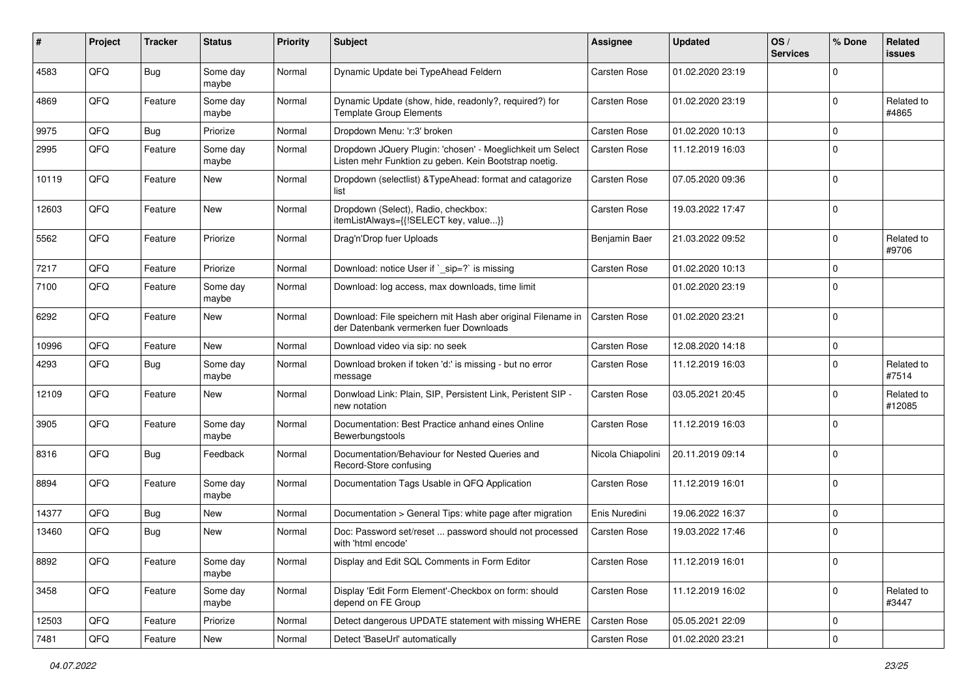| #     | Project | <b>Tracker</b> | <b>Status</b>     | <b>Priority</b> | <b>Subject</b>                                                                                                     | <b>Assignee</b>     | <b>Updated</b>   | OS/<br><b>Services</b> | % Done         | Related<br>issues    |
|-------|---------|----------------|-------------------|-----------------|--------------------------------------------------------------------------------------------------------------------|---------------------|------------------|------------------------|----------------|----------------------|
| 4583  | QFQ     | Bug            | Some day<br>maybe | Normal          | Dynamic Update bei TypeAhead Feldern                                                                               | <b>Carsten Rose</b> | 01.02.2020 23:19 |                        | $\Omega$       |                      |
| 4869  | QFQ     | Feature        | Some day<br>maybe | Normal          | Dynamic Update (show, hide, readonly?, required?) for<br><b>Template Group Elements</b>                            | Carsten Rose        | 01.02.2020 23:19 |                        | $\Omega$       | Related to<br>#4865  |
| 9975  | QFQ     | Bug            | Priorize          | Normal          | Dropdown Menu: 'r:3' broken                                                                                        | Carsten Rose        | 01.02.2020 10:13 |                        | $\Omega$       |                      |
| 2995  | QFQ     | Feature        | Some day<br>maybe | Normal          | Dropdown JQuery Plugin: 'chosen' - Moeglichkeit um Select<br>Listen mehr Funktion zu geben. Kein Bootstrap noetig. | Carsten Rose        | 11.12.2019 16:03 |                        | $\Omega$       |                      |
| 10119 | QFQ     | Feature        | New               | Normal          | Dropdown (selectlist) & Type Ahead: format and catagorize<br>list                                                  | Carsten Rose        | 07.05.2020 09:36 |                        | $\Omega$       |                      |
| 12603 | QFQ     | Feature        | <b>New</b>        | Normal          | Dropdown (Select), Radio, checkbox:<br>itemListAlways={{!SELECT key, value}}                                       | <b>Carsten Rose</b> | 19.03.2022 17:47 |                        | $\mathbf 0$    |                      |
| 5562  | QFQ     | Feature        | Priorize          | Normal          | Drag'n'Drop fuer Uploads                                                                                           | Benjamin Baer       | 21.03.2022 09:52 |                        | $\Omega$       | Related to<br>#9706  |
| 7217  | QFQ     | Feature        | Priorize          | Normal          | Download: notice User if `_sip=?` is missing                                                                       | <b>Carsten Rose</b> | 01.02.2020 10:13 |                        | $\Omega$       |                      |
| 7100  | QFQ     | Feature        | Some day<br>maybe | Normal          | Download: log access, max downloads, time limit                                                                    |                     | 01.02.2020 23:19 |                        | $\Omega$       |                      |
| 6292  | QFQ     | Feature        | New               | Normal          | Download: File speichern mit Hash aber original Filename in<br>der Datenbank vermerken fuer Downloads              | <b>Carsten Rose</b> | 01.02.2020 23:21 |                        | $\Omega$       |                      |
| 10996 | QFQ     | Feature        | <b>New</b>        | Normal          | Download video via sip: no seek                                                                                    | Carsten Rose        | 12.08.2020 14:18 |                        | $\mathbf 0$    |                      |
| 4293  | QFQ     | Bug            | Some day<br>maybe | Normal          | Download broken if token 'd:' is missing - but no error<br>message                                                 | Carsten Rose        | 11.12.2019 16:03 |                        | $\Omega$       | Related to<br>#7514  |
| 12109 | QFQ     | Feature        | New               | Normal          | Donwload Link: Plain, SIP, Persistent Link, Peristent SIP -<br>new notation                                        | Carsten Rose        | 03.05.2021 20:45 |                        | $\Omega$       | Related to<br>#12085 |
| 3905  | QFQ     | Feature        | Some day<br>maybe | Normal          | Documentation: Best Practice anhand eines Online<br>Bewerbungstools                                                | Carsten Rose        | 11.12.2019 16:03 |                        | $\Omega$       |                      |
| 8316  | QFQ     | Bug            | Feedback          | Normal          | Documentation/Behaviour for Nested Queries and<br>Record-Store confusing                                           | Nicola Chiapolini   | 20.11.2019 09:14 |                        | $\Omega$       |                      |
| 8894  | QFQ     | Feature        | Some day<br>maybe | Normal          | Documentation Tags Usable in QFQ Application                                                                       | Carsten Rose        | 11.12.2019 16:01 |                        | $\Omega$       |                      |
| 14377 | QFQ     | Bug            | New               | Normal          | Documentation > General Tips: white page after migration                                                           | Enis Nuredini       | 19.06.2022 16:37 |                        | $\Omega$       |                      |
| 13460 | QFQ     | Bug            | New               | Normal          | Doc: Password set/reset  password should not processed<br>with 'html encode'                                       | Carsten Rose        | 19.03.2022 17:46 |                        | $\overline{0}$ |                      |
| 8892  | QFQ     | Feature        | Some day<br>maybe | Normal          | Display and Edit SQL Comments in Form Editor                                                                       | Carsten Rose        | 11.12.2019 16:01 |                        | $\overline{0}$ |                      |
| 3458  | QFQ     | Feature        | Some day<br>maybe | Normal          | Display 'Edit Form Element'-Checkbox on form: should<br>depend on FE Group                                         | Carsten Rose        | 11.12.2019 16:02 |                        | $\mathbf 0$    | Related to<br>#3447  |
| 12503 | QFQ     | Feature        | Priorize          | Normal          | Detect dangerous UPDATE statement with missing WHERE                                                               | Carsten Rose        | 05.05.2021 22:09 |                        | 0              |                      |
| 7481  | QFG     | Feature        | New               | Normal          | Detect 'BaseUrl' automatically                                                                                     | Carsten Rose        | 01.02.2020 23:21 |                        | 0              |                      |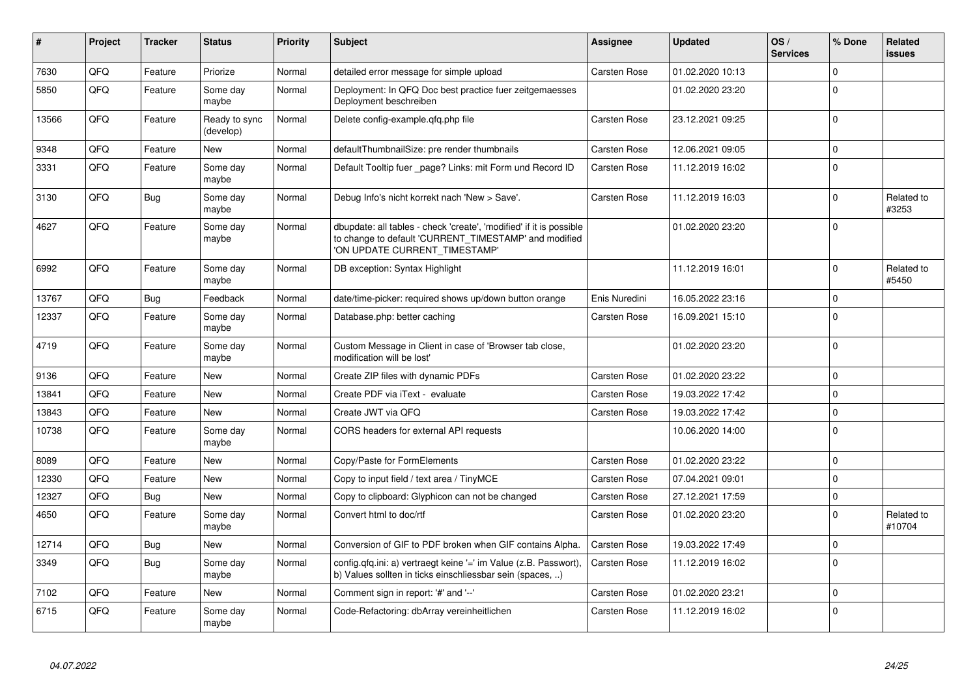| #     | <b>Project</b> | <b>Tracker</b> | <b>Status</b>              | <b>Priority</b> | <b>Subject</b>                                                                                                                                                | Assignee            | <b>Updated</b>   | OS/<br><b>Services</b> | % Done      | Related<br><b>issues</b> |
|-------|----------------|----------------|----------------------------|-----------------|---------------------------------------------------------------------------------------------------------------------------------------------------------------|---------------------|------------------|------------------------|-------------|--------------------------|
| 7630  | QFQ            | Feature        | Priorize                   | Normal          | detailed error message for simple upload                                                                                                                      | Carsten Rose        | 01.02.2020 10:13 |                        | $\Omega$    |                          |
| 5850  | QFQ            | Feature        | Some dav<br>maybe          | Normal          | Deployment: In QFQ Doc best practice fuer zeitgemaesses<br>Deployment beschreiben                                                                             |                     | 01.02.2020 23:20 |                        | $\Omega$    |                          |
| 13566 | QFQ            | Feature        | Ready to sync<br>(develop) | Normal          | Delete config-example.gfg.php file                                                                                                                            | Carsten Rose        | 23.12.2021 09:25 |                        | $\Omega$    |                          |
| 9348  | QFQ            | Feature        | <b>New</b>                 | Normal          | defaultThumbnailSize: pre render thumbnails                                                                                                                   | Carsten Rose        | 12.06.2021 09:05 |                        | $\Omega$    |                          |
| 3331  | QFQ            | Feature        | Some day<br>maybe          | Normal          | Default Tooltip fuer _page? Links: mit Form und Record ID                                                                                                     | Carsten Rose        | 11.12.2019 16:02 |                        | $\Omega$    |                          |
| 3130  | QFQ            | Bug            | Some day<br>maybe          | Normal          | Debug Info's nicht korrekt nach 'New > Save'.                                                                                                                 | Carsten Rose        | 11.12.2019 16:03 |                        | $\Omega$    | Related to<br>#3253      |
| 4627  | QFQ            | Feature        | Some day<br>maybe          | Normal          | dbupdate: all tables - check 'create', 'modified' if it is possible<br>to change to default 'CURRENT_TIMESTAMP' and modified<br>'ON UPDATE CURRENT TIMESTAMP' |                     | 01.02.2020 23:20 |                        | $\Omega$    |                          |
| 6992  | QFQ            | Feature        | Some day<br>maybe          | Normal          | DB exception: Syntax Highlight                                                                                                                                |                     | 11.12.2019 16:01 |                        | $\Omega$    | Related to<br>#5450      |
| 13767 | QFQ            | Bug            | Feedback                   | Normal          | date/time-picker: required shows up/down button orange                                                                                                        | Enis Nuredini       | 16.05.2022 23:16 |                        | $\mathbf 0$ |                          |
| 12337 | QFQ            | Feature        | Some day<br>maybe          | Normal          | Database.php: better caching                                                                                                                                  | <b>Carsten Rose</b> | 16.09.2021 15:10 |                        | $\Omega$    |                          |
| 4719  | QFQ            | Feature        | Some day<br>maybe          | Normal          | Custom Message in Client in case of 'Browser tab close,<br>modification will be lost'                                                                         |                     | 01.02.2020 23:20 |                        | $\Omega$    |                          |
| 9136  | QFQ            | Feature        | New                        | Normal          | Create ZIP files with dynamic PDFs                                                                                                                            | Carsten Rose        | 01.02.2020 23:22 |                        | $\Omega$    |                          |
| 13841 | QFQ            | Feature        | <b>New</b>                 | Normal          | Create PDF via iText - evaluate                                                                                                                               | Carsten Rose        | 19.03.2022 17:42 |                        | $\Omega$    |                          |
| 13843 | QFQ            | Feature        | <b>New</b>                 | Normal          | Create JWT via QFQ                                                                                                                                            | <b>Carsten Rose</b> | 19.03.2022 17:42 |                        | $\Omega$    |                          |
| 10738 | QFQ            | Feature        | Some day<br>maybe          | Normal          | CORS headers for external API requests                                                                                                                        |                     | 10.06.2020 14:00 |                        | $\Omega$    |                          |
| 8089  | QFQ            | Feature        | <b>New</b>                 | Normal          | Copy/Paste for FormElements                                                                                                                                   | Carsten Rose        | 01.02.2020 23:22 |                        | $\Omega$    |                          |
| 12330 | QFQ            | Feature        | New                        | Normal          | Copy to input field / text area / TinyMCE                                                                                                                     | Carsten Rose        | 07.04.2021 09:01 |                        | $\Omega$    |                          |
| 12327 | QFQ            | <b>Bug</b>     | <b>New</b>                 | Normal          | Copy to clipboard: Glyphicon can not be changed                                                                                                               | Carsten Rose        | 27.12.2021 17:59 |                        | $\Omega$    |                          |
| 4650  | QFQ            | Feature        | Some day<br>maybe          | Normal          | Convert html to doc/rtf                                                                                                                                       | Carsten Rose        | 01.02.2020 23:20 |                        | $\Omega$    | Related to<br>#10704     |
| 12714 | QFQ            | <b>Bug</b>     | New                        | Normal          | Conversion of GIF to PDF broken when GIF contains Alpha.                                                                                                      | Carsten Rose        | 19.03.2022 17:49 |                        | 0           |                          |
| 3349  | QFQ            | Bug            | Some day<br>maybe          | Normal          | config.qfq.ini: a) vertraegt keine '=' im Value (z.B. Passwort),<br>b) Values sollten in ticks einschliessbar sein (spaces, )                                 | Carsten Rose        | 11.12.2019 16:02 |                        | $\Omega$    |                          |
| 7102  | QFQ            | Feature        | New                        | Normal          | Comment sign in report: '#' and '--'                                                                                                                          | Carsten Rose        | 01.02.2020 23:21 |                        | $\Omega$    |                          |
| 6715  | QFQ            | Feature        | Some day<br>maybe          | Normal          | Code-Refactoring: dbArray vereinheitlichen                                                                                                                    | Carsten Rose        | 11.12.2019 16:02 |                        | $\Omega$    |                          |